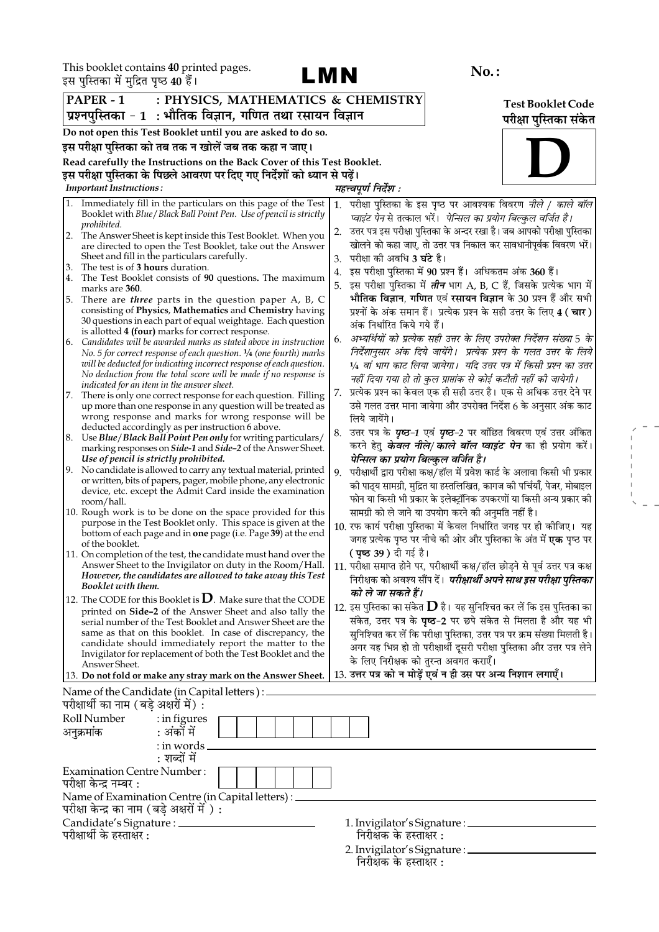

 $\begin{aligned} \mathcal{L}_{\text{max}} &= \frac{1}{2} \left( \frac{1}{2} \right) \mathcal{L}_{\text{max}} \\ &= \frac{1}{2} \left( \frac{1}{2} \right) \mathcal{L}_{\text{max}} \\ &= \frac{1}{2} \mathcal{L}_{\text{max}} \\ &= \frac{1}{2} \mathcal{L}_{\text{max}} \\ &= \frac{1}{2} \mathcal{L}_{\text{max}} \\ &= \frac{1}{2} \mathcal{L}_{\text{max}} \\ &= \frac{1}{2} \mathcal{L}_{\text{max}} \\ &= \frac{1}{2} \mathcal{L}_{\text{max}} \\ &= \frac{1}{2} \mathcal{L}_{\text{max$ 

| इस पुस्तिका म मुद्रित पृष्ठ 40 है।                                                                                                                  |                                                                                       |  |  |  |
|-----------------------------------------------------------------------------------------------------------------------------------------------------|---------------------------------------------------------------------------------------|--|--|--|
| PAPER - 1<br>: PHYSICS, MATHEMATICS & CHEMISTRY                                                                                                     | <b>Test Booklet Code</b>                                                              |  |  |  |
| प्रश्नपुस्तिका - 1  : भौतिक विज्ञान, गणित तथा रसायन विज्ञान                                                                                         | परीक्षा पुस्तिका संकेत                                                                |  |  |  |
| Do not open this Test Booklet until you are asked to do so.                                                                                         |                                                                                       |  |  |  |
| इस परीक्षा पुस्तिका को तब तक न खोलें जब तक कहा न जाए।                                                                                               |                                                                                       |  |  |  |
|                                                                                                                                                     |                                                                                       |  |  |  |
| Read carefully the Instructions on the Back Cover of this Test Booklet.<br>इस परीक्षा पुस्तिका के पिछले आवरण पर दिए गए निर्देशों को ध्यान से पढ़ें। |                                                                                       |  |  |  |
| <b>Important Instructions:</b>                                                                                                                      | महत्त्वपूर्ण निर्देश :                                                                |  |  |  |
|                                                                                                                                                     |                                                                                       |  |  |  |
| Immediately fill in the particulars on this page of the Test<br>Booklet with Blue/Black Ball Point Pen. Use of pencil is strictly                   | परीक्षा पुस्तिका के इस पृष्ठ पर आवश्यक विवरण <i>नीले / काले बॉल</i><br>1.             |  |  |  |
| prohibited.                                                                                                                                         | प्वाइंट पेन से तत्काल भरें।  पेन्सिल का प्रयोग बिल्कुल वर्जित है।                     |  |  |  |
| The Answer Sheet is kept inside this Test Booklet. When you<br>2.                                                                                   | उत्तर पत्र इस परीक्षा पुस्तिका के अन्दर रखा है। जब आपको परीक्षा पुस्तिका<br>2.        |  |  |  |
| are directed to open the Test Booklet, take out the Answer                                                                                          | खोलने को कहा जाए, तो उत्तर पत्र निकाल कर सावधानीपूर्वक विवरण भरें।                    |  |  |  |
| Sheet and fill in the particulars carefully.<br>The test is of 3 hours duration.<br>3.                                                              | परीक्षा की अवधि <b>3 घंटे</b> है।<br>3.                                               |  |  |  |
| The Test Booklet consists of 90 questions. The maximum<br>4.                                                                                        | इस परीक्षा पुस्तिका में 90 प्रश्न हैं। अधिकतम अंक 360 हैं।<br>4.                      |  |  |  |
| marks are 360.                                                                                                                                      | इस परीक्षा पुस्तिका में <i>तीन</i> भाग A, B, C हैं, जिसके प्रत्येक भाग में<br>5.      |  |  |  |
| There are three parts in the question paper A, B, C<br>5.                                                                                           | भौतिक विज्ञान, गणित एवं रसायन विज्ञान के 30 प्रश्न हैं और सभी                         |  |  |  |
| consisting of Physics, Mathematics and Chemistry having<br>30 questions in each part of equal weightage. Each question                              | प्रश्नों के अंक समान हैं। प्रत्येक प्रश्न के सही उत्तर के लिए 4 (चार)                 |  |  |  |
| is allotted 4 (four) marks for correct response.                                                                                                    | अंक निर्धारित किये गये हैं।                                                           |  |  |  |
| Candidates will be awarded marks as stated above in instruction<br>6.                                                                               | अभ्यर्थियों को प्रत्येक सही उत्तर के लिए उपरोक्त निर्देशन संख्या 5 के<br>6.           |  |  |  |
| No. 5 for correct response of each question. $\frac{1}{4}$ (one fourth) marks                                                                       | निर्देशानुसार अंक दिये जायेंगे।  प्रत्येक प्रश्न के गलत उत्तर के लिये                 |  |  |  |
| will be deducted for indicating incorrect response of each question.                                                                                | 1/4 वां भाग काट लिया जायेगा।  यदि उत्तर पत्र में किसी प्रश्न का उत्तर                 |  |  |  |
| No deduction from the total score will be made if no response is<br>indicated for an item in the answer sheet.                                      | नहीं दिया गया हो तो कुल प्राप्तांक से कोई कटौती नहीं की जायेगी।                       |  |  |  |
| There is only one correct response for each question. Filling<br>7.                                                                                 | प्रत्येक प्रश्न का केवल एक ही सही उत्तर है। एक से अधिक उत्तर देने पर<br>7.            |  |  |  |
| up more than one response in any question will be treated as                                                                                        | उसे गलत उत्तर माना जायेगा और उपरोक्त निर्देश 6 के अनुसार अंक काट                      |  |  |  |
| wrong response and marks for wrong response will be                                                                                                 | लिये जायेंगे।                                                                         |  |  |  |
| deducted accordingly as per instruction 6 above.<br>8. Use Blue/Black Ball Point Pen only for writing particulars/                                  | उत्तर पत्र के <i>पृष्ठ-1</i> एवं <i>पृष्ठ-2</i> पर वांछित विवरण एवं उत्तर अंकित<br>8. |  |  |  |
| marking responses on Side-1 and Side-2 of the Answer Sheet.                                                                                         | करने हेतु <b>के<i>वल नीले/ काले बॉल प्वाइंट पेन</i> का</b> ही प्रयोग करें।            |  |  |  |
| Use of pencil is strictly prohibited.                                                                                                               | पेन्सिल का प्रयोग बिल्कुल वर्जित है।                                                  |  |  |  |
| No candidate is allowed to carry any textual material, printed<br>9.                                                                                | परीक्षार्थी द्वारा परीक्षा कक्ष/हॉल में प्रवेश कार्ड के अलावा किसी भी प्रकार<br>9.    |  |  |  |
| or written, bits of papers, pager, mobile phone, any electronic<br>device, etc. except the Admit Card inside the examination                        | को पाठ्य सामग्री, मुद्रित या हस्तलिखित, कागज को पर्चियाँ, पेजर, मोबाइल                |  |  |  |
| room/hall.                                                                                                                                          | फोन या किसी भी प्रकार के इलेक्ट्रॉनिक उपकरणों या किसी अन्य प्रकार की                  |  |  |  |
| 10. Rough work is to be done on the space provided for this                                                                                         | सामग्री को ले जाने या उपयोग करने की अनुमति नहीं है।                                   |  |  |  |
| purpose in the Test Booklet only. This space is given at the                                                                                        | 10. रफ कार्य परीक्षा पुस्तिका में केवल निर्धारित जगह पर ही कीजिए। यह                  |  |  |  |
| bottom of each page and in <b>one</b> page (i.e. Page 39) at the end<br>of the booklet.                                                             | जगह प्रत्येक पृष्ठ पर नीचे की ओर और पुस्तिका के अंत में <b>एक</b> पृष्ठ पर            |  |  |  |
| 11. On completion of the test, the candidate must hand over the                                                                                     | <b>( पृष्ठ 39 )</b> दी गई है।                                                         |  |  |  |
| Answer Sheet to the Invigilator on duty in the Room/Hall.                                                                                           | 11. परीक्षा समाप्त होने पर, परीक्षार्थी कक्ष/हॉल छोड़ने से पूर्व उत्तर पत्र कक्ष      |  |  |  |
| However, the candidates are allowed to take away this Test                                                                                          | निरीक्षक को अवश्य सौंप दें। <i>परीक्षार्थी अपने साथ इस परीक्षा पुस्तिका</i>           |  |  |  |
| Booklet with them.                                                                                                                                  | को ले जा सकते हैं।                                                                    |  |  |  |
| 12. The CODE for this Booklet is $D$ . Make sure that the CODE<br>printed on <b>Side-2</b> of the Answer Sheet and also tally the                   | 12. इस पुस्तिका का संकेत ${\bf D}$ है।  यह सुनिश्चित कर लें कि इस पुस्तिका का         |  |  |  |
| serial number of the Test Booklet and Answer Sheet are the                                                                                          | संकेत, उत्तर पत्र के पृष्ठ-2 पर छपे संकेत से मिलता है और यह भी                        |  |  |  |
| same as that on this booklet. In case of discrepancy, the                                                                                           | सुनिश्चित कर लें कि परीक्षा पुस्तिका, उत्तर पत्र पर क्रम संख्या मिलती है।             |  |  |  |
| candidate should immediately report the matter to the                                                                                               | अगर यह भिन्न हो तो परीक्षार्थी दूसरी परीक्षा पुस्तिका और उत्तर पत्र लेने              |  |  |  |
| Invigilator for replacement of both the Test Booklet and the<br>Answer Sheet.                                                                       | के लिए निरीक्षक को तुरन्त अवगत कराएँ।                                                 |  |  |  |
| 13. Do not fold or make any stray mark on the Answer Sheet.                                                                                         | 13. उत्तर पत्र को न मोड़ें एवं न ही उस पर अन्य निशान लगाएँ।                           |  |  |  |
| Name of the Candidate (in Capital letters) : _                                                                                                      |                                                                                       |  |  |  |
| परीक्षार्थी का नाम (बड़े अक्षरों में) :                                                                                                             |                                                                                       |  |  |  |
| Roll Number<br>$:$ in figures                                                                                                                       |                                                                                       |  |  |  |
| : अंकों में<br>अनुक्रमांक                                                                                                                           |                                                                                       |  |  |  |
|                                                                                                                                                     |                                                                                       |  |  |  |
| : in words _<br>: शब्दों में                                                                                                                        |                                                                                       |  |  |  |
| <b>Examination Centre Number:</b>                                                                                                                   |                                                                                       |  |  |  |
| परीक्षा केन्द्र नम्बर :                                                                                                                             |                                                                                       |  |  |  |
| Name of Examination Centre (in Capital letters) :                                                                                                   |                                                                                       |  |  |  |
| परीक्षा केन्द्र का नाम (बड़े अक्षरों में ) :                                                                                                        |                                                                                       |  |  |  |
| Candidate's Signature : _______                                                                                                                     | 1. Invigilator's Signature : __________                                               |  |  |  |
| परीक्षार्थी के हस्ताक्षर :                                                                                                                          | निरीक्षक के हस्ताक्षर :                                                               |  |  |  |

निरीक्षक के हस्ताक्षर : 2. Invigilator's Signature : \_<br>निरीक्षक के हस्ताक्षर :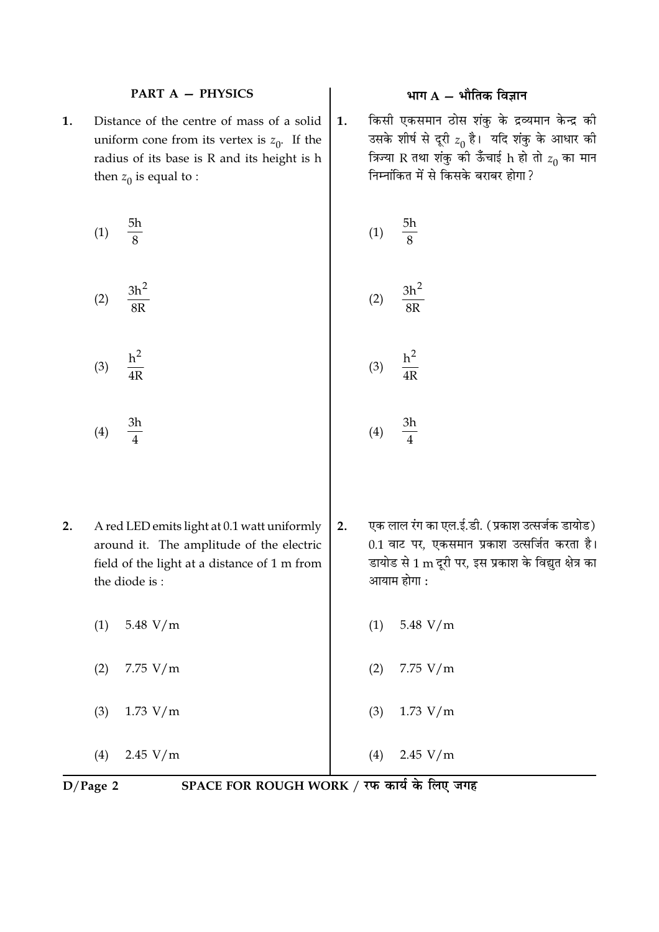#### **PART A - PHYSICS**

Distance of the centre of mass of a solid 1. uniform cone from its vertex is  $z_0$ . If the radius of its base is R and its height is h then  $z_0$  is equal to :

(1) 
$$
\frac{5h}{8}
$$
  
(2)  $\frac{3h^2}{8}$   
(3)  $\frac{3h^2}{8}$   
(4)  $\frac{5h}{8}$   
(5)  $\frac{3h^2}{8}$ 

 $h<sup>2</sup>$  $(3)$  $\overline{4R}$ 

- $2.$ A red LED emits light at 0.1 watt uniformly around it. The amplitude of the electric field of the light at a distance of 1 m from the diode is:
	- $(1)$ 5.48  $V/m$

8R

 $3h$ 

 $\overline{\mathbf{A}}$ 

 $(4)$ 

- $(2)$  $7.75 V/m$
- 1.73  $V/m$  $(3)$

 $(4)$  $2.45 V/m$ 

 $D/Page$  2

SPACE FOR ROUGH WORK / रफ कार्य के लिए जगह

# भाग  $A - \hat{A}$ मीतिक विज्ञान

किसी एकसमान ठोस शंकु के द्रव्यमान केन्द्र की  $1.$ उसके शीर्ष से दूरी  $z_0$  है। यदि शंकु के आधार की त्रिज्या R तथा शंकु की ऊँचाई h हो तो  $z_0$  का मान निम्नांकित में से किसके बराबर होगा ?

$$
(2) \quad \frac{1}{8R}
$$
\n
$$
(3) \quad \frac{h^2}{4R}
$$
\n
$$
(4) \quad 3h
$$

 $(4)$ 

- एक लाल रंग का एल.ई.डी. (प्रकाश उत्सर्जक डायोड)  $2.$ 0.1 वाट पर, एकसमान प्रकाश उत्सर्जित करता है। डायोड से 1 m दूरी पर, इस प्रकाश के विद्युत क्षेत्र का आयाम होगा :
	- 5.48  $V/m$  $(1)$
	- $(2)$  $7.75 V/m$
	- $1.73 V/m$  $(3)$

 $(4)$ 

- 
- 
- 

 $2.45 V/m$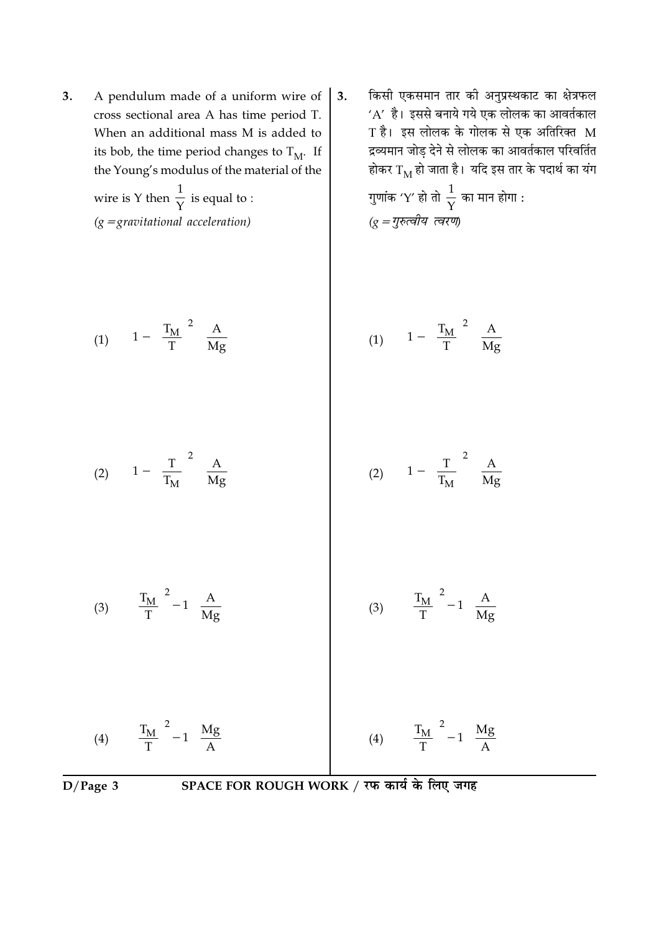**3.** A pendulum made of a uniform wire of cross sectional area A has time period T. When an additional mass M is added to its bob, the time period changes to  ${\rm T_{M^*}}$  If the Young's modulus of the material of the

wire is Y then  $\frac{1}{\sqrt{2}}$  $\overline{\gamma}$  is equal to : (g = gravitational acceleration)

(1)  $\left[1 - \left(\frac{T_M}{T}\right)^2\right] \frac{A}{M_0}$  $\left[1 - \left(\frac{T_M}{T}\right)^2\right] \frac{A}{Mg}$ 

-

3. किसी एकसमान तार को अनुप्रस्थकाट का क्षेत्रफल  $\Delta'$  हैं। इससे बनाये गये एक लोलक का आवर्तकाल  $\mathrm{T}$  हैं। इस लोलक के गोलक से एक अतिरिक्त  $\mathrm{M}% _{\mathrm{H}}$ द्रव्यमान जोड़ देने से लोलक का आवर्तकाल परिवर्तित होकर  $\mathrm{T}_{\mathrm{M}}$  हो जाता है। योद इस तार के पदार्थ का यग

गुणांक ′Y′ हो तो  $\frac{1}{\Upsilon}$  का मान होगा : ( $g$  = गुरुत्वीय त्वरण)

$$
(1) \quad \left[1 - \left(\frac{T_M}{T}\right)^2\right] \frac{A}{Mg}
$$

$$
(2) \left[1 - \left(\frac{T}{T_M}\right)^2\right] \frac{A}{Mg}
$$
 (2) 
$$
\left[1 - \left(\frac{T}{T_M}\right)^2\right] \frac{A}{Mg}
$$

$$
(3) \quad \left[ \left( \frac{T_M}{T} \right)^2 - 1 \right] \frac{A}{Mg} \tag{3} \quad \left[ \left( \frac{T_M}{T} \right)^2 - 1 \right] \frac{A}{Mg}
$$

$$
(4) \quad \left[ \left( \frac{T_M}{T} \right)^2 - 1 \right] \frac{Mg}{A} \tag{4} \quad (4) \quad \left[ \left( \frac{T_M}{T} \right)^2 - 1 \right] \frac{Mg}{A}
$$

$$
D/Page\ 3
$$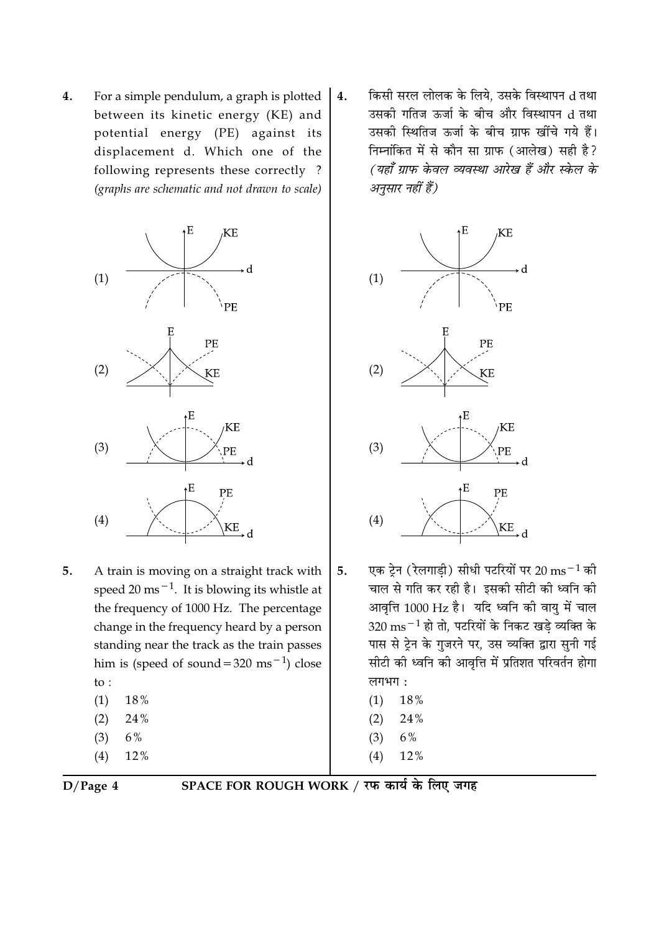$\overline{4}$ . For a simple pendulum, a graph is plotted between its kinetic energy (KE) and potential energy (PE) against its displacement d. Which one of the following represents these correctly? (graphs are schematic and not drawn to scale)



- A train is moving on a straight track with 5. speed 20 ms<sup> $-1$ </sup>. It is blowing its whistle at the frequency of 1000 Hz. The percentage change in the frequency heard by a person standing near the track as the train passes him is (speed of sound =  $320 \text{ ms}^{-1}$ ) close to:  $(1)$ 18%
	- 24%  $(2)$
	- $(3)$ 6%
	- $(4)$ 12%
	-

किसी सरल लोलक के लिये. उसके विस्थापन d तथा  $4.$ उसकी गतिज ऊर्जा के बीच और विस्थापन d तथा उसकी स्थितिज ऊर्जा के बीच ग्राफ खींचे गये हैं। निम्नांकित में से कौन सा ग्राफ (आलेख) सही है? (यहाँ ग्राफ केवल व्यवस्था आरेख हैं और स्केल के अनुसार नहीं हैं)



- 5. एक टेन (रेलगाडी) सीधी पटरियों पर 20 ms $^{-1}$  की चाल से गति कर रही है। इसकी सीटी की ध्वनि की आवृत्ति 1000 Hz है। यदि ध्वनि की वायु में चाल  $320 \text{ ms}^{-1}$  हो तो, पटरियों के निकट खडे व्यक्ति के पास से ट्रेन के गुजरने पर, उस व्यक्ति द्वारा सुनी गई सीटी की ध्वनि की आवृत्ति में प्रतिशत परिवर्तन होगा लगभग:
	- $(1)$ 18%
	- 24%  $(2)$
	- $(3)$ 6%
	- $(4)$ 12%

 $D/Page 4$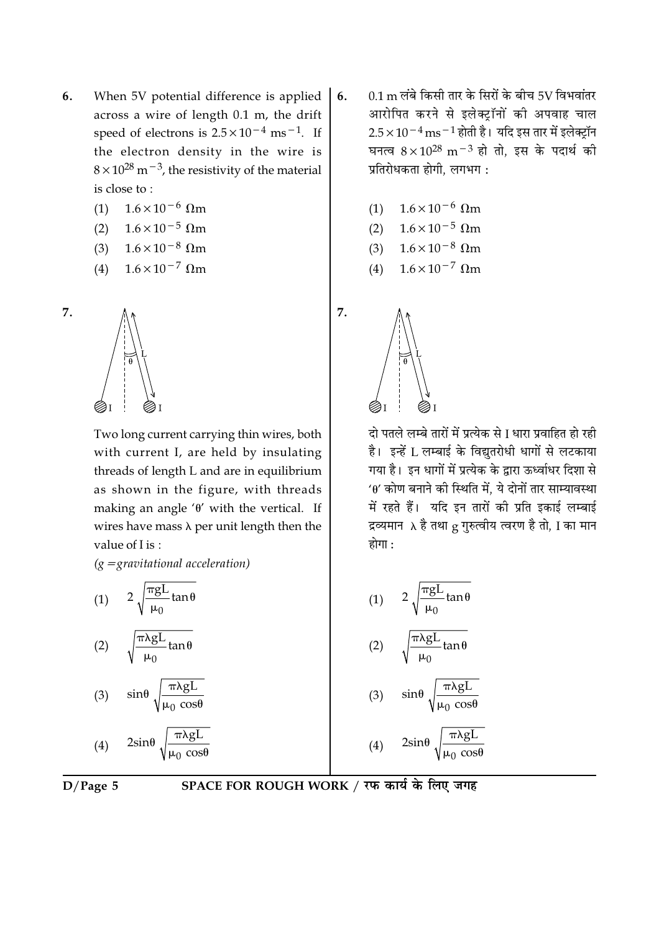- 6. When 5V potential difference is applied across a wire of length 0.1 m, the drift speed of electrons is  $2.5 \times 10^{-4}$  ms<sup>-1</sup>. If the electron density in the wire is  $8 \times 10^{28}$  m<sup>-3</sup>, the resistivity of the material is close to:
	- $1.6 \times 10^{-6}$  Qm  $(1)$
	- $1.6 \times 10^{-5}$  Ωm  $(2)$
	- $1.6 \times 10^{-8}$   $\Omega$ m  $(3)$
	- $1.6 \times 10^{-7}$  Ωm  $(4)$

7.



Two long current carrying thin wires, both with current I, are held by insulating threads of length L and are in equilibrium as shown in the figure, with threads making an angle ' $\theta$ ' with the vertical. If wires have mass  $\lambda$  per unit length then the value of Lis:

 $(g =$ gravitational acceleration)

(1) 
$$
2 \sqrt{\frac{\pi g L}{\mu_0}} \tan \theta
$$
  
(2)  $\sqrt{\frac{\pi \lambda g L}{\mu_0}} \tan \theta$ 

$$
(3) \quad \sin\theta \sqrt{\frac{\pi\lambda gL}{\mu_0 \cos\theta}}
$$

(4) 
$$
2\sin\theta \sqrt{\frac{\pi\lambda gL}{\mu_0 \cos\theta}}
$$

SPACE FOR ROUGH WORK / रफ कार्य के लिए जगह

- 0.1 m लंबे किसी तार के सिरों के बीच 5V विभवांतर 6. आरोपित करने से इलेक्ट्रॉनों की अपवाह चाल  $2.5 \times 10^{-4}$  ms  $^{-1}$  होती है। यदि इस तार में इलेक्टॉन घनत्व  $8 \times 10^{28}$  m<sup>-3</sup> हो तो, इस के पदार्थ की प्रतिरोधकता होगी, लगभग:
	- $1.6 \times 10^{-6}$  Qm  $(1)$
	- $1.6 \times 10^{-5}$  Qm  $(2)$
	- $1.6 \times 10^{-8}$   $\Omega$ m  $(3)$
	- $1.6 \times 10^{-7}$  Ωm  $(4)$



7.

दो पतले लम्बे तारों में प्रत्येक से I धारा प्रवाहित हो रही है। इन्हें L लम्बाई के विद्युतरोधी धागों से लटकाया गया है। इन धागों में प्रत्येक के द्वारा ऊर्ध्वाधर दिशा से  $40'$  कोण बनाने की स्थिति में, ये दोनों तार साम्यावस्था में रहते हैं। यदि इन तारों की प्रति इकाई लम्बाई द्रव्यमान  $\lambda$  है तथा g गुरुत्वीय त्वरण है तो, I का मान होगा $\cdot$ 

(1) 
$$
2\sqrt{\frac{\pi gL}{\mu_0} \tan \theta}
$$
  
\n(2)  $\sqrt{\frac{\pi \lambda gL}{\mu_0} \tan \theta}$   
\n(3)  $\sin \theta \sqrt{\frac{\pi \lambda gL}{\mu_0 \cos \theta}}$   
\n(4)  $2\sin \theta \sqrt{\frac{\pi \lambda gL}{\mu_0 \cos \theta}}$ 

 $\mu_0 \cos\theta$ 

 $D/Page 5$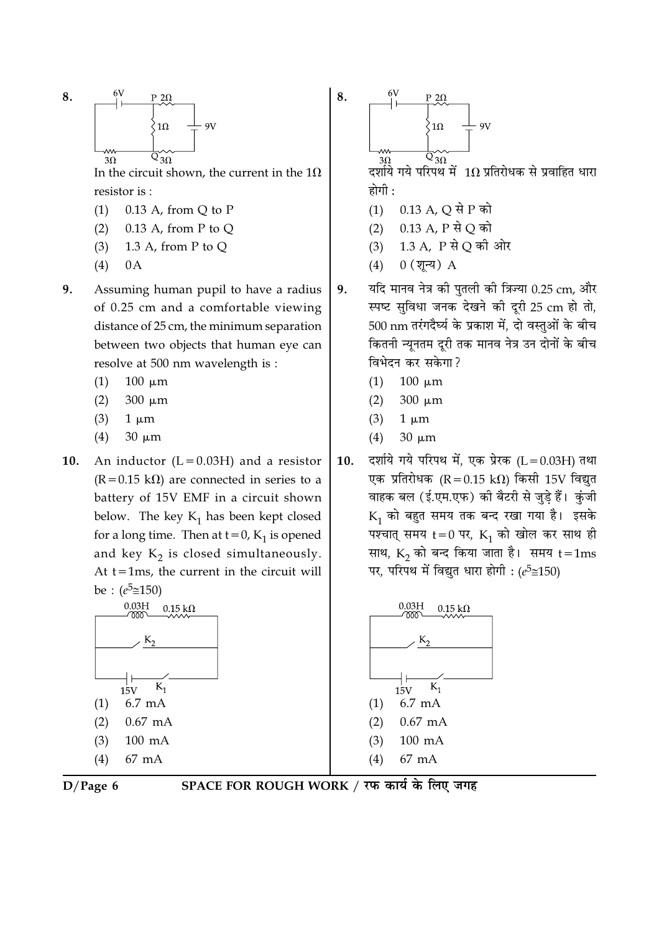8. 
$$
\begin{array}{c|c}\n\begin{array}{c}\n6V & p \ 2\Omega \\
\hline\n\end{array} \\
\hline\n\end{array}\n\qquad\n\begin{array}{c}\n\begin{array}{c}\n8. \\
\hline\n\end{array} \\
\hline\n\end{array}\n\qquad\n\begin{array}{c}\n\begin{array}{c}\n\lambda \\
\hline\n\end{array} \\
\hline\n\end{array}\n\qquad\n\begin{array}{c}\n\lambda \\
\hline\n\end{array}\n\qquad\n\begin{array}{c}\n\lambda \\
\hline\n\end{array}\n\qquad\n\end{array}\n\qquad\n\begin{array}{c}\n\lambda \\
\hline\n\end{array}\n\qquad\n\begin{array}{c}\n\lambda \\
\hline\n\end{array}\n\qquad\n\begin{array}{c}\n\lambda \\
\hline\n\end{array}\n\qquad\n\begin{array}{c}\n\lambda \\
\hline\n\end{array}\n\qquad\n\end{array}
$$

In the circuit shown, the current in the  $1\Omega$ resistor is:

- $(1)$  $0.13$  A, from Q to P
- $(2)$  $0.13$  A, from P to Q
- 1.3 A, from P to Q  $(3)$
- $(4)$  $0A$
- $9<sub>1</sub>$ Assuming human pupil to have a radius of 0.25 cm and a comfortable viewing distance of 25 cm, the minimum separation between two objects that human eye can resolve at 500 nm wavelength is :
	- $(1)$  $100 \mu m$
	- $(2)$  $300 \mu m$
	- $(3)$  $1 \mu m$
	- $(4)$  $30 \mu m$
- 10. An inductor  $(L = 0.03H)$  and a resistor  $(R = 0.15 \text{ k}\Omega)$  are connected in series to a battery of 15V EMF in a circuit shown below. The key  $K_1$  has been kept closed for a long time. Then at  $t = 0$ ,  $K_1$  is opened and key  $K_2$  is closed simultaneously. At  $t = 1$ ms, the current in the circuit will be :  $(e^5 \cong 150)$





SPACE FOR ROUGH WORK / रफ कार्य के लिए जगह

 $P$  2 $\Omega$  $1\Omega$  $QV$  $Q_{30}$  $3\Omega$ 

 $\mathbf{8}$ .

दर्शाये गये परिपथ में  $~1\Omega$  प्रतिरोधक से प्रवाहित धारा होगी :

- $(1)$  0.13 A, Q से P को
- 0.13 A, P से O को  $(2)$
- 1.3 A, P से Q की ओर  $(3)$
- $0($ शून्य)  $A$  $(4)$
- यदि मानव नेत्र की पतली की त्रिज्या 0.25 cm, और 9. स्पष्ट सुविधा जनक देखने की दूरी 25 cm हो तो, 500 nm तरंगदैर्घ्य के प्रकाश में, दो वस्तुओं के बीच कितनी न्यूनतम दूरी तक मानव नेत्र उन दोनों के बीच विभेदन कर सकेगा?
	- $(1)$  $100 \mu m$
	- $300 \mu m$  $(2)$
	- $(3)$  $1 \mu m$
	- $(4)$  $30 \mu m$
- दर्शाये गये परिपथ में, एक प्रेरक (L = 0.03H) तथा 10. एक प्रतिरोधक (R = 0.15 k $\Omega$ ) किसी 15V विद्युत वाहक बल (ई.एम.एफ) की बैटरी से जुड़े हैं। कुंजी  $K_1$  को बहुत समय तक बन्द रखा गया है। इसके पश्चात् समय  $t = 0$  पर,  $K_1$  को खोल कर साथ ही साथ,  $K_2$  को बन्द किया जाता है। समय  $t = 1ms$ पर, परिपथ में विद्युत धारा होगी : ( $e^5 \approx 150$ )

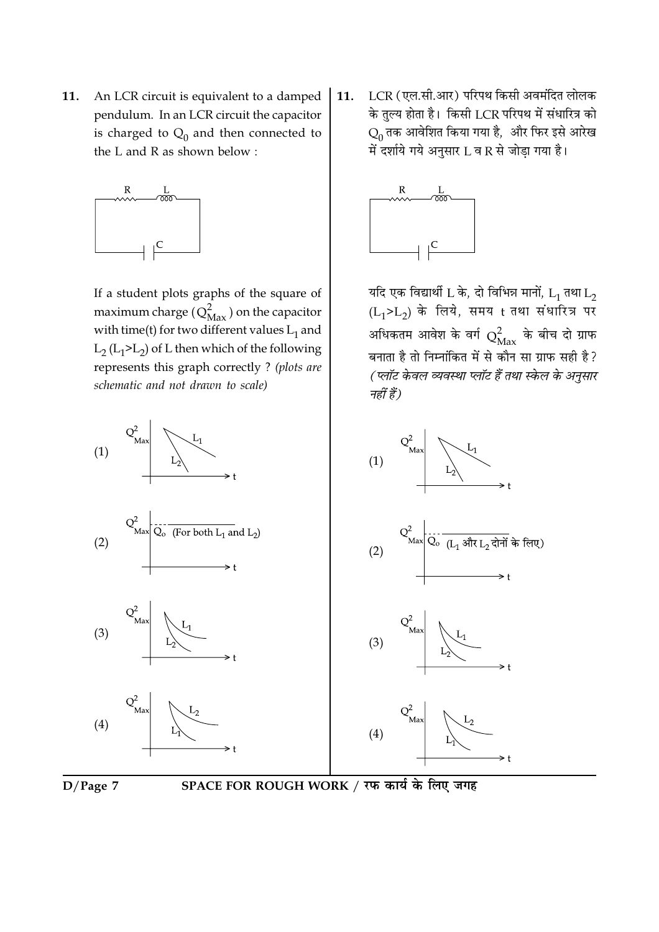An LCR circuit is equivalent to a damped 11. pendulum. In an LCR circuit the capacitor is charged to  $Q_0$  and then connected to the L and R as shown below:



If a student plots graphs of the square of maximum charge  $(Q_{\text{Max}}^2)$  on the capacitor with time(t) for two different values  $L_1$  and  $L_2$  ( $L_1$ > $L_2$ ) of L then which of the following represents this graph correctly ? (plots are schematic and not drawn to scale)



LCR (एल.सी.आर) परिपथ किसी अवमंदित लोलक 11. के तुल्य होता है। किसी LCR परिपथ में संधारित्र को  $Q_0$  तक आवेशित किया गया है, और फिर इसे आरेख में दर्शाये गये अनुसार L व R से जोड़ा गया है।



यदि एक विद्यार्थी L के, दो विभिन्न मानों,  $L_1$  तथा  $L_2$  $(L_1 > L_2)$  के लिये, समय t तथा संधारित्र पर अधिकतम आवेश के वर्ग  $Q_{\rm Max}^2$  के बीच दो ग्राफ बनाता है तो निम्नांकित में से कौन सा ग्राफ सही है? (प्लॉट केवल व्यवस्था प्लॉट हैं तथा स्केल के अनुसार नहीं हैं)





SPACE FOR ROUGH WORK / रफ कार्य के लिए जगह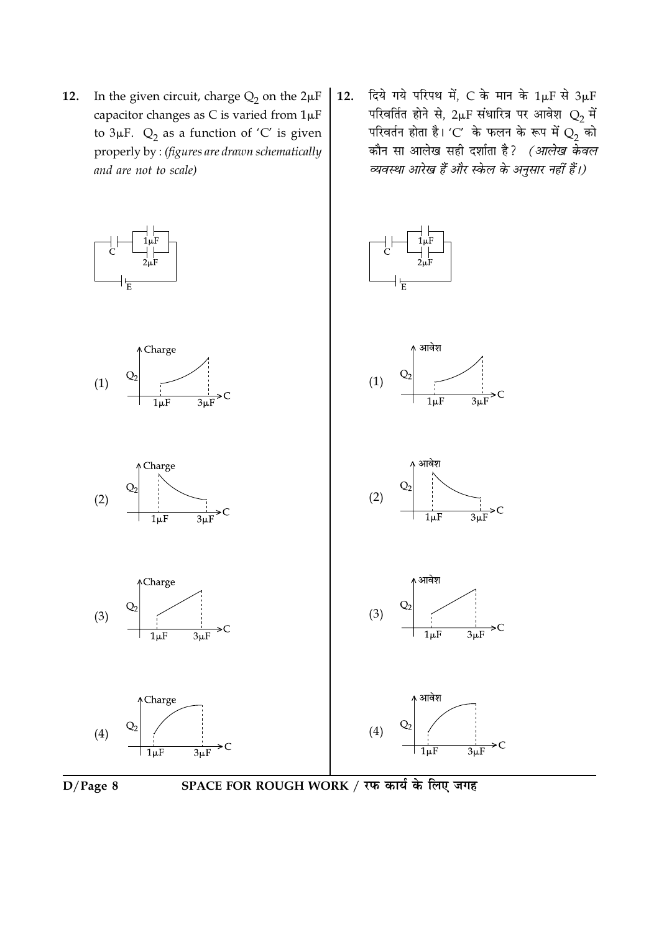- In the given circuit, charge  $Q_2$  on the  $2\mu F$ 12. capacitor changes as C is varied from  $1\mu$ F to  $3\mu$ F.  $Q_2$  as a function of 'C' is given properly by : (figures are drawn schematically and are not to scale)
- दिये गये परिपथ में, C के मान के  $1 \mu F$  से  $3 \mu F$ 12. परिवर्तित होने से,  $2\mu$ F संधारित्र पर आवेश  $Q_2$  में परिवर्तन होता है। 'C' के फलन के रूप में  $Q_2^2$  को कौन सा आलेख सही दर्शाता है? *(आलेख केवल* व्यवस्था आरेख हैं और स्केल के अनुसार नहीं हैं।)





SPACE FOR ROUGH WORK / रफ कार्य के लिए जगह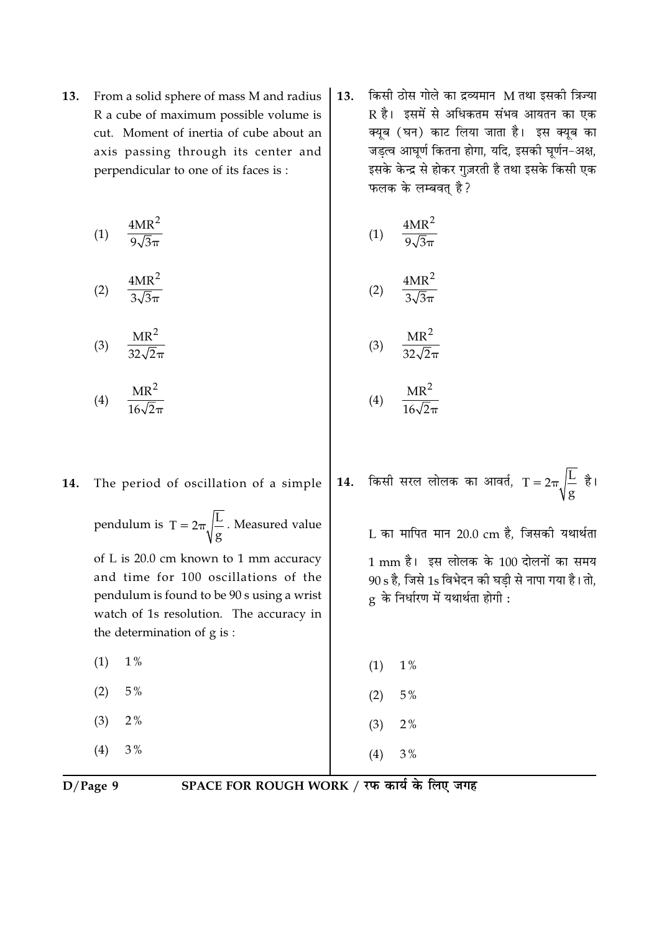From a solid sphere of mass M and radius 13. R a cube of maximum possible volume is cut. Moment of inertia of cube about an axis passing through its center and perpendicular to one of its faces is:

$$
(1) \quad \frac{4MR^2}{9\sqrt{3}\pi}
$$

$$
(2) \quad \frac{4MR^2}{3\sqrt{3}\pi}
$$

$$
(3) \quad \frac{\text{MR}^2}{32\sqrt{2}\pi}
$$

$$
(4) \quad \frac{\text{MR}^2}{16\sqrt{2}\pi}
$$

14.

किसी ठोस गोले का द्रव्यमान M तथा इसकी त्रिज्या 13. R है। इसमें से अधिकतम संभव आयतन का एक क्यूब (घन) काट लिया जाता है। इस क्यूब का जड़त्व आघूर्ण कितना होगा, यदि, इसकी घूर्णन-अक्ष, इसके केन्द्र से होकर गुज़रती है तथा इसके किसी एक फलक के लम्बवत् है?

$$
(1) \quad \frac{4MR^2}{9\sqrt{3}\pi}
$$

$$
2) \quad \frac{4MR^2}{3\sqrt{3}\pi}
$$

$$
(3) \quad \frac{\text{MR}^2}{32\sqrt{2}\pi}
$$

- $MR^2$  $(4)$
- 14. किसी सरल लोलक का आवर्त,  $T = 2\pi \sqrt{\frac{L}{g}}$  है। The period of oscillation of a simple

यथार्थता ग समय है। तो,

| pendulum is $T = 2\pi \sqrt{\frac{L}{g}}$ . Measured value                                                                                                                                             | L का मापित मान 20.0 cm है, जिसकी र                                                                                   |
|--------------------------------------------------------------------------------------------------------------------------------------------------------------------------------------------------------|----------------------------------------------------------------------------------------------------------------------|
| of L is 20.0 cm known to 1 mm accuracy<br>and time for 100 oscillations of the<br>pendulum is found to be 90 s using a wrist<br>watch of 1s resolution. The accuracy in<br>the determination of g is : | 1 mm है। इस लोलक के 100 दोलनों क<br>90 s है, जिसे 1s विभेदन की घड़ी से नापा गया<br>g के निर्धारण में यथार्थता होगी : |
| $1\%$                                                                                                                                                                                                  | $1\%$                                                                                                                |
| (1)                                                                                                                                                                                                    | (1)                                                                                                                  |
| $5\%$                                                                                                                                                                                                  | 5%                                                                                                                   |
| (2)                                                                                                                                                                                                    | (2)                                                                                                                  |
| 2%                                                                                                                                                                                                     | $2\%$                                                                                                                |
| (3)                                                                                                                                                                                                    | (3)                                                                                                                  |
| 3%                                                                                                                                                                                                     | 3%                                                                                                                   |
| (4)                                                                                                                                                                                                    | (4)                                                                                                                  |

$$
D/Page\ 9
$$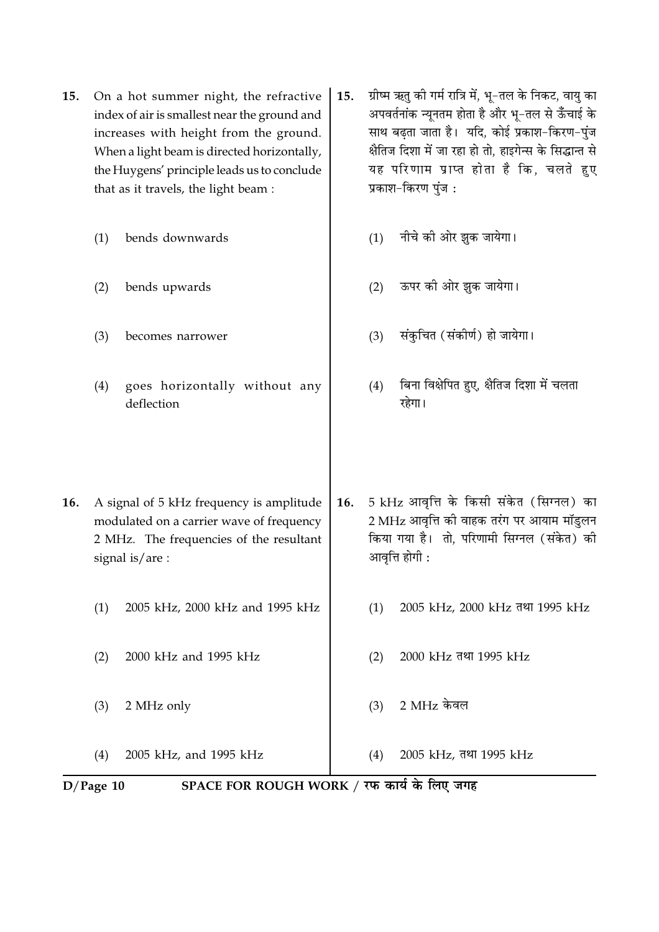- On a hot summer night, the refractive 15. index of air is smallest near the ground and increases with height from the ground. When a light beam is directed horizontally, the Huygens' principle leads us to conclude that as it travels, the light beam :
	- $(1)$ bends downwards
	- $(2)$ bends upwards
	- $(3)$ becomes narrower
	- $(4)$ goes horizontally without any deflection

ग्रीष्म ऋतु की गर्म रात्रि में, भू-तल के निकट, वायु का 15. अपवर्तनांक न्यूनतम होता है और भू-तल से ऊँचाई के साथ बढता जाता है। यदि, कोई प्रकाश-किरण-पंज क्षैतिज दिशा में जा रहा हो तो, हाइगेन्स के सिद्धान्त से यह परिणाम प्राप्त होता है कि, चलते हुए प्रकाश-किरण पुंज:

- नीचे की ओर झक जायेगा।  $(1)$
- ऊपर की ओर झुक जायेगा।  $(2)$
- संकुचित (संकीर्ण) हो जायेगा।  $(3)$
- बिना विक्षेपित हुए, क्षैतिज दिशा में चलता  $(4)$ रहेगा।
- 16. A signal of 5 kHz frequency is amplitude modulated on a carrier wave of frequency 2 MHz. The frequencies of the resultant signal is/are:
	- $(1)$ 2005 kHz, 2000 kHz and 1995 kHz
	- 2000 kHz and 1995 kHz  $(2)$
	- $(3)$ 2 MHz only

 $(4)$ 2005 kHz, and 1995 kHz

5 kHz आवृत्ति के किसी संकेत (सिग्नल) का 16. 2 MHz आवृत्ति की वाहक तरंग पर आयाम मॉडुलन किया गया है। तो, परिणामी सिग्नल (संकेत) की आवृत्ति होगी :

- $(1)$ 2005 kHz, 2000 kHz तथा 1995 kHz
- $(2)$ 2000 kHz तथा 1995 kHz
- 2 MHz केवल  $(3)$
- $(4)$ 2005 kHz, तथा 1995 kHz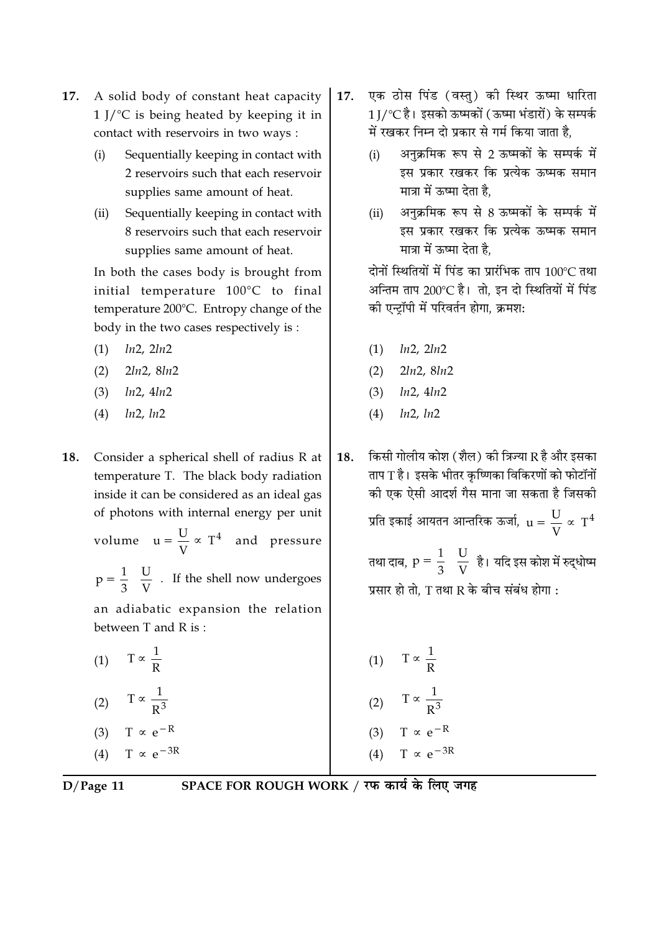- A solid body of constant heat capacity 17.  $1$  J/ $\degree$ C is being heated by keeping it in contact with reservoirs in two ways :
	- Sequentially keeping in contact with  $(i)$ 2 reservoirs such that each reservoir supplies same amount of heat.
	- $(ii)$ Sequentially keeping in contact with 8 reservoirs such that each reservoir supplies same amount of heat.

In both the cases body is brought from initial temperature 100°C to final temperature 200°C. Entropy change of the body in the two cases respectively is:

- $ln2$ ,  $2ln2$  $(1)$
- $2ln2, 8ln2$  $(2)$
- $(3)$  $ln2, 4ln2$
- $ln2, ln2$  $(4)$

18. Consider a spherical shell of radius R at temperature T. The black body radiation inside it can be considered as an ideal gas of photons with internal energy per unit

volume  $u = \frac{U}{V} \propto T^4$  and pressure

 $p = \frac{1}{3} \left( \frac{U}{V} \right)$ . If the shell now undergoes

an adiabatic expansion the relation between T and R is:

 $T \propto \frac{1}{R}$  $(1)$ (2)  $T \propto \frac{1}{R^3}$ 

$$
(3) \tT \propto e^{-R}
$$

 $T \propto e^{-3R}$  $(4)$ 

- एक ठोस पिंड (वस्तु) की स्थिर ऊष्मा धारिता 17. 1 ∏′℃ है। इसको ऊष्मकों (ऊष्मा भंडारों) के सम्पर्क में रखकर निम्न दो प्रकार से गर्म किया जाता है.
	- अनक्रमिक रूप से 2 ऊष्मकों के सम्पर्क में  $(i)$ इस प्रकार रखकर कि प्रत्येक ऊष्मक समान मात्रा में ऊष्मा देता है.
	- अनक्रमिक रूप से 8 ऊष्मकों के सम्पर्क में  $(ii)$ इस प्रकार रखकर कि प्रत्येक ऊष्मक समान मात्रा में ऊष्मा देता है.

दोनों स्थितियों में पिंड का प्रारंभिक ताप 100°C तथा अन्तिम ताप 200℃ है। तो, इन दो स्थितियों में पिंड की एन्ट्रॉपी में परिवर्तन होगा, क्रमश:

- $(1)$   $ln2, 2ln2$
- $2ln2, 8ln2$  $(2)$
- $(3)$   $ln2, 4ln2$
- $ln2, ln2$  $(4)$

किसी गोलीय कोश (शैल) की त्रिज्या R है और इसका 18. ताप T है। इसके भीतर कृष्णिका विकिरणों को फोटॉनों को एक ऐसी आदर्श गैस माना जा सकता है जिसकी प्रति इकाई आयतन आन्तरिक ऊर्जा,  $u = \frac{U}{V} \propto T^4$ तथा दाब,  $p = \frac{1}{3} \left( \frac{U}{V} \right)$ है। यदि इस कोश में रुद्धोष्म

प्रसार हो तो, T तथा R के बीच संबंध होगा :

| (1)               | $T \propto \frac{1}{\cdot}$<br>$\mathbb{R}$ |
|-------------------|---------------------------------------------|
| (2)               | $T \propto \frac{1}{R^3}$                   |
| (3)               | $T \propto e^{-R}$                          |
| $\left( 4\right)$ | $T \propto e^{-3R}$                         |

 $D/Page$  11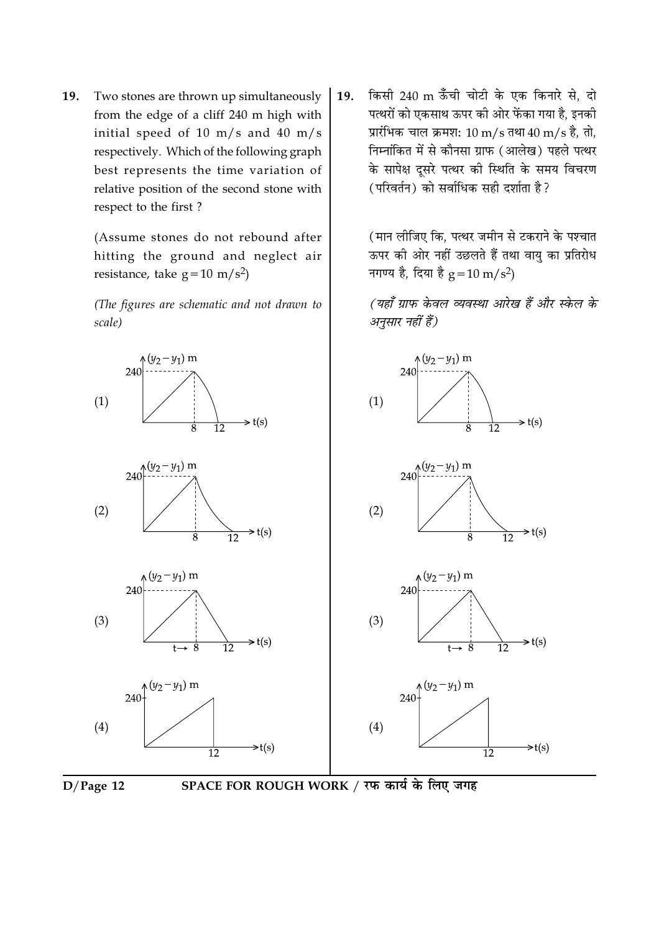19. Two stones are thrown up simultaneously from the edge of a cliff 240 m high with initial speed of 10 m/s and 40 m/s respectively. Which of the following graph best represents the time variation of relative position of the second stone with respect to the first?

> (Assume stones do not rebound after hitting the ground and neglect air resistance, take  $g = 10 \text{ m/s}^2$

> (The figures are schematic and not drawn to scale)

किसी 240 m ऊँची चोटी के एक किनारे से, दो 19. पत्थरों को एकसाथ ऊपर की ओर फेंका गया है, इनकी प्रारंभिक चाल क्रमश: 10 m/s तथा 40 m/s है. तो. निम्नांकित में से कौनसा ग्राफ (आलेख) पहले पत्थर के सापेक्ष दुसरे पत्थर की स्थिति के समय विचरण (परिवर्तन) को सर्वाधिक सही दर्शाता है?

> (मान लीजिए कि, पत्थर जमीन से टकराने के पश्चात ऊपर की ओर नहीं उछलते हैं तथा वायु का प्रतिरोध नगण्य है, दिया है  $g = 10 \text{ m/s}^2$ )

> (यहाँ ग्राफ केवल व्यवस्था आरेख हैं और स्केल के अनुसार नहीं हैं)



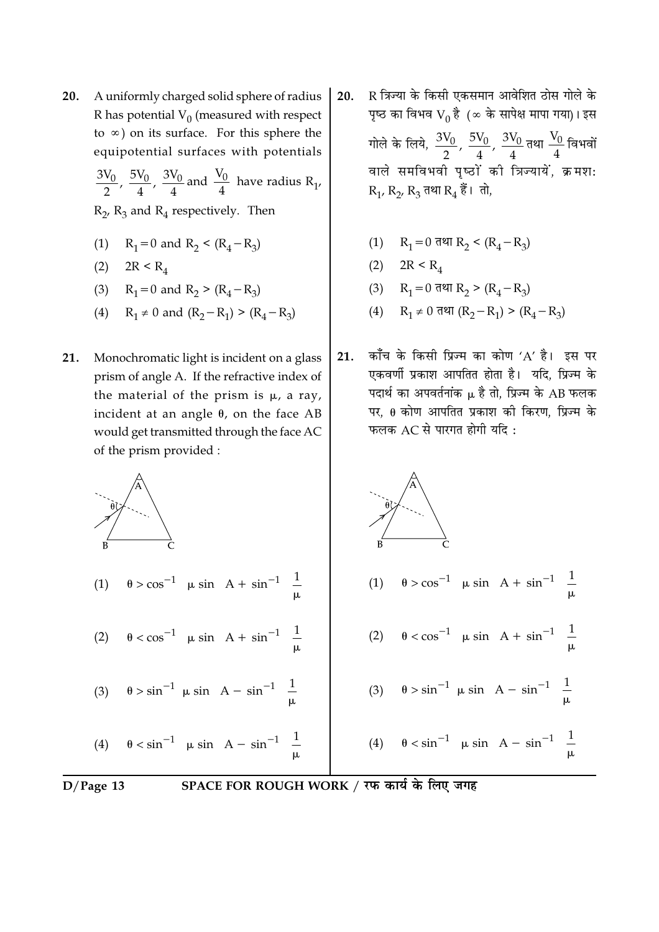20. A uniformly charged solid sphere of radius R has potential  $V_0$  (measured with respect to  $\infty$ ) on its surface. For this sphere the equipotential surfaces with potentials  $\frac{3V_0}{2}$ ,  $\frac{5V_0}{4}$ ,  $\frac{3V_0}{4}$  and  $\frac{V_0}{4}$  have radius R<sub>1</sub>,

 $R_2$ ,  $R_3$  and  $R_4$  respectively. Then

- $R_1 = 0$  and  $R_2 < (R_4 R_3)$  $(1)$
- (2)  $2R < R_4$
- (3)  $R_1 = 0$  and  $R_2 > (R_4 R_3)$
- (4)  $R_1 \neq 0$  and  $(R_2 R_1) > (R_4 R_3)$
- 21. Monochromatic light is incident on a glass prism of angle A. If the refractive index of the material of the prism is  $\mu$ , a ray, incident at an angle  $\theta$ , on the face AB would get transmitted through the face AC of the prism provided :
- R त्रिज्या के किसी एकसमान आवेशित ठोस गोले के 20. पृष्ठ का विभव  $V_0$  है (∞ के सापेक्ष मापा गया)। इस गोले के लिये,  $\frac{3V_0}{2}$ ,  $\frac{5V_0}{4}$ ,  $\frac{3V_0}{4}$ तथा  $\frac{V_0}{4}$ विभवों वाले समविभवी पृष्ठों की त्रिज्यायें, क्रमशः  $R_1, R_2, R_3$  तथा  $R_4$  हैं। तो,
	- (1)  $R_1 = 0$  तथा  $R_2 < (R_4 R_3)$
	- (2)  $2R < R_4$
	- (3)  $R_1 = 0$  तथा  $R_2 > (R_4 R_3)$
	- (4)  $R_1 \neq 0$  तथा  $(R_2 R_1)$  >  $(R_4 R_3)$
- काँच के किसी प्रिज्म का कोण 'A' है। इस पर 21. एकवर्णी प्रकाश आपतित होता है। यदि, प्रिज्म के पदार्थ का अपवर्तनांक  $\mu$  है तो, प्रिज्म के AB फलक पर,  $\theta$  कोण आपतित प्रकाश की किरण, प्रिज्म के फलक AC से पारगत होगी यदि:

$$
\begin{pmatrix}\n\frac{\partial}{\partial t} & \frac{\partial}{\partial t} & \frac{\partial}{\partial t} & \frac{\partial}{\partial t} & \frac{\partial}{\partial t} \\
0 & 0 & \cos^{-1} \left[ \mu \sin \left( A + \sin^{-1} \left( \frac{1}{\mu} \right) \right] \right] & \frac{\partial}{\partial t} & \frac{\partial}{\partial t} & \frac{\partial}{\partial t} \\
1 & 0 & \cos^{-1} \left[ \mu \sin \left( A + \sin^{-1} \left( \frac{1}{\mu} \right) \right] \right] & \frac{\partial}{\partial t} & \frac{\partial}{\partial t} & \frac{\partial}{\partial t} & \frac{\partial}{\partial t} \\
1 & 0 & \cos^{-1} \left[ \mu \sin \left( A + \sin^{-1} \left( \frac{1}{\mu} \right) \right] \right] & \frac{\partial}{\partial t} & \frac{\partial}{\partial t} & \frac{\partial}{\partial t} & \frac{\partial}{\partial t} & \frac{\partial}{\partial t} \\
1 & 0 & \cos^{-1} \left[ \mu \sin \left( A - \sin^{-1} \left( \frac{1}{\mu} \right) \right] \right] & \frac{\partial}{\partial t} & \frac{\partial}{\partial t} & \frac{\partial}{\partial t} & \frac{\partial}{\partial t} & \frac{\partial}{\partial t} & \frac{\partial}{\partial t} & \frac{\partial}{\partial t} \\
1 & 0 & \cos^{-1} \left[ \mu \sin \left( A - \sin^{-1} \left( \frac{1}{\mu} \right) \right] \right] & \frac{\partial}{\partial t} & \frac{\partial}{\partial t} & \frac{\partial}{\partial t} & \frac{\partial}{\partial t} & \frac{\partial}{\partial t} & \frac{\partial}{\partial t} & \frac{\partial}{\partial t} \\
1 & 0 & \cos^{-1} \left[ \mu \sin \left( A - \sin^{-1} \left( \frac{1}{\mu} \right) \right] \right] & \frac{\partial}{\partial t} & \frac{\partial}{\partial t} & \frac{\partial}{\partial t} & \frac{\partial}{\partial t} & \frac{\partial}{\partial t} & \frac{\partial}{\partial t} & \frac{\partial}{\partial t} \right)\n\end{pmatrix}
$$

$$
D/Page\ 13
$$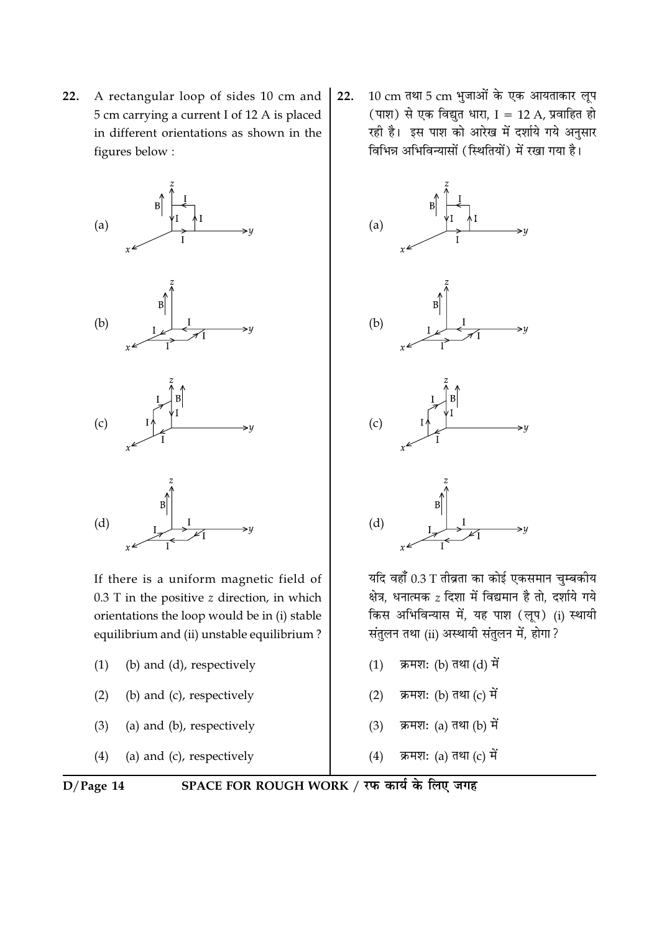A rectangular loop of sides 10 cm and 22. 5 cm carrying a current I of 12 A is placed in different orientations as shown in the figures below:



If there is a uniform magnetic field of  $0.3$  T in the positive  $z$  direction, in which orientations the loop would be in (i) stable equilibrium and (ii) unstable equilibrium?

- (b) and (d), respectively  $(1)$
- (b) and (c), respectively  $(2)$
- (a) and (b), respectively  $(3)$
- $(4)$ (a) and (c), respectively

10 cm तथा 5 cm भुजाओं के एक आयताकार लूप 22. (पाश) से एक विद्युत धारा, I = 12 A, प्रवाहित हो रही है। इस पाश को आरेख में दर्शाये गये अनुसार विभिन्न अभिविन्यासों (स्थितियों) में रखा गया है।



यदि वहाँ 0.3 T तीव्रता का कोई एकसमान चुम्बकीय क्षेत्र, धनात्मक z दिशा में विद्यमान है तो, दर्शाये गये किस अभिविन्यास में, यह पाश (लूप) (i) स्थायी संतुलन तथा (ii) अस्थायी संतुलन में, होगा ?

- क्रमश: (b) तथा (d) में  $(1)$
- क्रमश: (b) तथा (c) में  $(2)$
- क्रमश: (a) तथा (b) में  $(3)$
- $(4)$ क्रमश: (a) तथा (c) में

 $D/Page 14$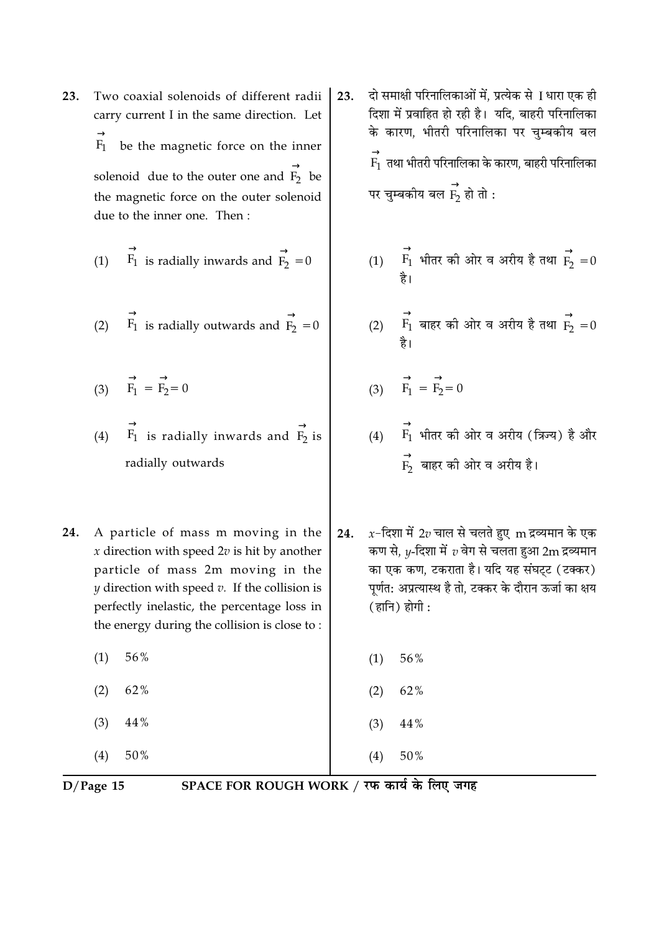Two coaxial solenoids of different radii 23. carry current I in the same direction. Let be the magnetic force on the inner  $F_1$ solenoid due to the outer one and  $\overrightarrow{F_2}$  be the magnetic force on the outer solenoid due to the inner one. Then:

(1) 
$$
\overrightarrow{F_1}
$$
 is radially inwards and  $\overrightarrow{F_2} = 0$ 

(2) 
$$
\overrightarrow{F_1}
$$
 is radially outwards and  $\overrightarrow{F_2} = 0$ 

- (3)  $\overrightarrow{F_1} = \overrightarrow{F_2} = 0$
- (4)  $\overrightarrow{F_1}$  is radially inwards and  $\overrightarrow{F_2}$  is radially outwards
- A particle of mass m moving in the 24. x direction with speed  $2v$  is hit by another particle of mass 2m moving in the  $\nu$  direction with speed  $\nu$ . If the collision is perfectly inelastic, the percentage loss in the energy during the collision is close to:
	- $(1)$ 56%  $(2)$ 62%
	- $(3)$ 44%
	- $(4)$ 50%

दो समाक्षी परिनालिकाओं में, प्रत्येक से 1 धारा एक ही 23. दिशा में प्रवाहित हो रही है। यदि, बाहरी परिनालिका के कारण. भीतरी परिनालिका पर चम्बकीय बल  $\stackrel{\rightarrow}{\mathrm{F_1}}$  तथा भीतरी परिनालिका के कारण, बाहरी परिनालिका पर चुम्बकीय बल $\stackrel{\rightarrow}{\mathrm{F_{2}}}$  हो तो :

- (1)  $\overrightarrow{F_1}$  भीतर की ओर व अरीय है तथा  $\overrightarrow{F_2} = 0$
- (2)  $\overrightarrow{F_1}$  बाहर की ओर व अरीय है तथा  $\overrightarrow{F_2} = 0$

$$
(3) \qquad \overrightarrow{F_1} = \overrightarrow{F_2} = 0
$$

- (4)  $\overrightarrow{F_1}$  भीतर की ओर व अरीय (क्रिन्य) है और<br> $\overrightarrow{F_2}$  बाहर की ओर व अरीय है।
- $x$ -दिशा में 2 $v$  चाल से चलते हुए  $\,$ m द्रव्यमान के एक 24. कण से,  $y$ -दिशा में  $v$  वेग से चलता हुआ 2m द्रव्यमान का एक कण, टकराता है। यदि यह संघट्ट (टक्कर) पर्णत: अप्रत्यास्थ है तो. टक्कर के दौरान ऊर्जा का क्षय (हानि) होगी:

 $(1)$ 56%

 $(2)$ 62%

50%

44%  $(3)$ 

 $(4)$ 

 $D/Page$  15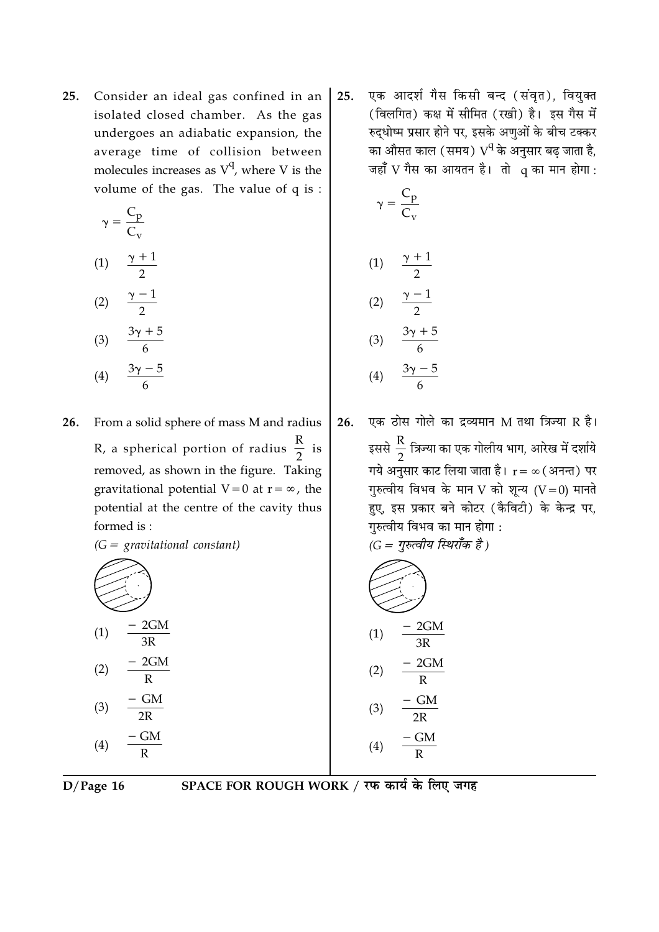Consider an ideal gas confined in an 25. isolated closed chamber. As the gas undergoes an adiabatic expansion, the average time of collision between molecules increases as  $V^q$ , where V is the volume of the gas. The value of  $q$  is:

$$
\left(\gamma = \frac{C_{p}}{C_{v}}\right)
$$
  
(1) 
$$
\frac{\gamma + 1}{2}
$$
  
(2) 
$$
\frac{\gamma - 1}{2}
$$

$$
(3) \quad \frac{3\gamma + 5}{6}
$$
\n
$$
(4) \quad \frac{3\gamma - 5}{6}
$$

From a solid sphere of mass M and radius 26. R, a spherical portion of radius  $\frac{R}{2}$  is removed, as shown in the figure. Taking gravitational potential  $V=0$  at  $r=\infty$ , the potential at the centre of the cavity thus formed is:

 $(G =$  gravitational constant)

$$
(1) \frac{-2GM}{3R}
$$
  
\n
$$
(2) \frac{-2GM}{R}
$$
  
\n
$$
(3) \frac{-GM}{2R}
$$
  
\n
$$
(4) \frac{-GM}{R}
$$

एक आदर्श गैस किसी बन्द (संवृत), वियुक्त 25. (विलगित) कक्ष में सीमित (रखी) है। इस गैस में रुदधोष्म प्रसार होने पर. इसके अणओं के बीच टक्कर का औसत काल (समय)  $\rm V^q$ के अनुसार बढ जाता है, जहाँ V गैस का आयतन है। तो q का मान होगा:

$$
\left(\gamma = \frac{C_{p}}{C_{v}}\right)
$$
\n
$$
(1) \quad \frac{\gamma + 1}{2}
$$
\n
$$
(2) \quad \frac{\gamma - 1}{2}
$$
\n
$$
(3) \quad \frac{3\gamma + 5}{6}
$$
\n
$$
(4) \quad \frac{3\gamma - 5}{6}
$$

एक ठोस गोले का द्रव्यमान M तथा त्रिज्या R है। 26. इससे  $\frac{\text{R}}{2}$  त्रिज्या का एक गोलीय भाग, आरेख में दर्शाये गये अनुसार काट लिया जाता है।  $\mathbf{r} = \infty$  (अनन्त) पर गुरुत्वीय विभव के मान V को शून्य  $(V=0)$  मानते हुए, इस प्रकार बने कोटर (कैविटी) के केन्द्र पर, गुरुत्वीय विभव का मान होगा :  $(G = \eta \overline{\eta})$ क्लीय स्थिराँक है।

$$
(1) \frac{-2GM}{3R}
$$
  
\n
$$
(2) \frac{-2GM}{R}
$$
  
\n
$$
(3) \frac{-GM}{2R}
$$
  
\n
$$
(4) \frac{-GM}{R}
$$

 $D/Page 16$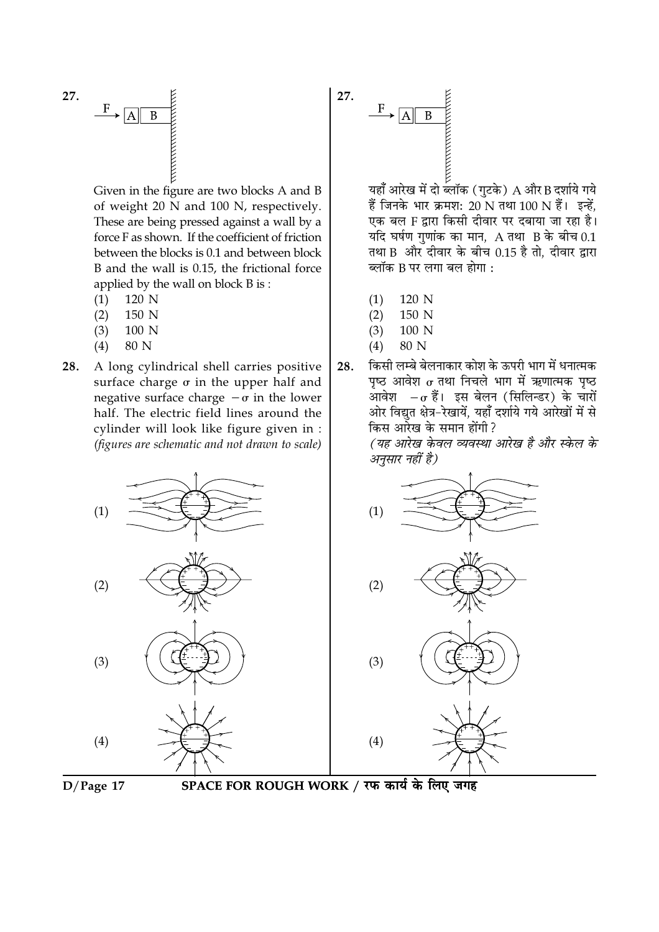



Given in the figure are two blocks A and B of weight 20 N and 100 N, respectively. These are being pressed against a wall by a force F as shown. If the coefficient of friction between the blocks is 0.1 and between block B and the wall is 0.15, the frictional force applied by the wall on block B is:

- $(1)$ 120 N
- $(2)$ 150 N
- 100 N  $(3)$
- $(4)$ 80 N
- 28. A long cylindrical shell carries positive surface charge  $\sigma$  in the upper half and negative surface charge  $-\sigma$  in the lower half. The electric field lines around the cylinder will look like figure given in : (figures are schematic and not drawn to scale)



हैं जिनके भार क्रमश: 20 N तथा 100 N हैं। इन्हें, एक बल F द्वारा किसी दीवार पर दबाया जा रहा है। यदि घर्षण गुणांक का मान,  $A$  तथा  $B$  के बीच 0.1 तथा B और दीवार के बीच 0.15 है तो, दीवार द्वारा ब्लॉक B पर लगा बल होगा :

- 120 N  $(1)$
- $(2)$ 150 N
- $(3)$ 100 N
- $(4)$ 80 N
- किसी लम्बे बेलनाकार कोश के ऊपरी भाग में धनात्मक 28. पृष्ठ आवेश  $\sigma$  तथा निचले भाग में ऋणात्मक पृष्ठ आवेश  $-\sigma$  हैं। इस बेलन (सिलिन्डर) के चारों ओर विद्युत क्षेत्र-रेखायें, यहाँ दर्शाये गये आरेखों में से किस आरेख के समान होंगी ?

(यह आरेख केवल व्यवस्था आरेख है और स्केल के अनुसार नहीं है)





SPACE FOR ROUGH WORK / रफ कार्य के लिए जगह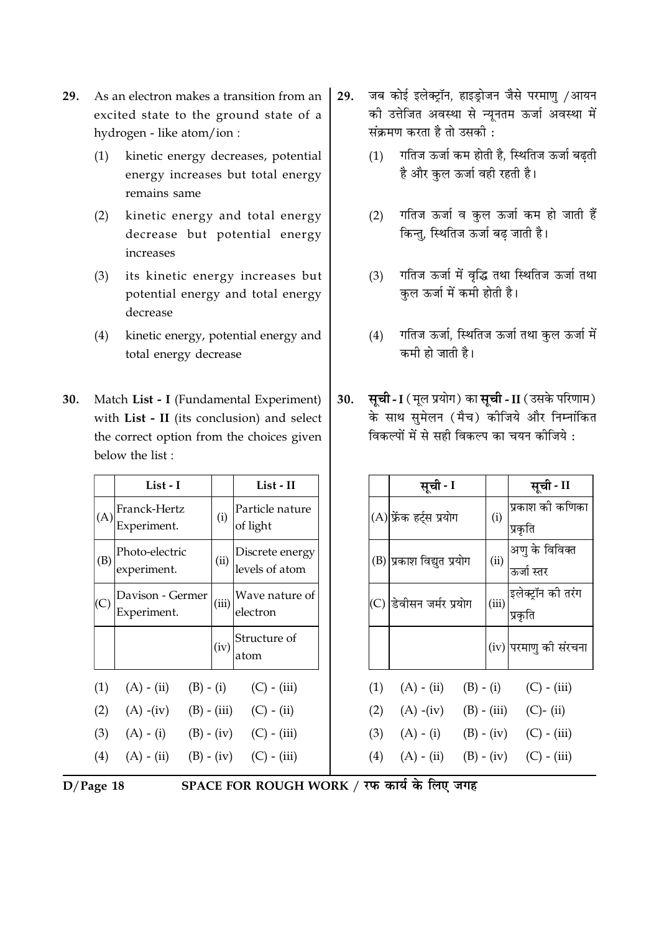- **29.** As an electron makes a transition from an excited state to the ground state of a hydrogen - like atom/ion :
	- (1) kinetic energy decreases, potential energy increases but total energy remains same
	- (2) kinetic energy and total energy decrease but potential energy increases
	- (3) its kinetic energy increases but potential energy and total energy decrease
	- (4) kinetic energy, potential energy and total energy decrease
- **30.** Match List I (Fundamental Experiment) with **List - II** (its conclusion) and select the correct option from the choices given below the list :

|     | List - I                        |               | List - II                         |
|-----|---------------------------------|---------------|-----------------------------------|
| (A) | Franck-Hertz<br>Experiment.     | (i)           | Particle nature<br>of light       |
| (B) | Photo-electric<br>experiment.   | (ii)          | Discrete energy<br>levels of atom |
|     | Davison - Germer<br>Experiment. | (iii)         | Wave nature of<br>electron        |
|     |                                 | (iv)          | Structure of<br>atom              |
| (1) | $(A) - (ii)$                    | $(B) - (i)$   | $(C) - (iii)$                     |
| (2) | $(A) - (iv)$                    | $(B) - (iii)$ | $(C) - (ii)$                      |
| (3) | $(A) - (i)$                     |               | $(B) - (iv)$ (C) - (iii)          |
| (4) | $(A) - (ii)$                    | $(B) - (iv)$  | $(C) - (iii)$                     |

- 29. जब कोई इलेक्ट्रॉन, हाइड्रोजन जैसे परमाणु /आयन को उत्तीजत अवस्था से न्यूनतम ऊंजो अवस्था म<mark>े</mark> सक्रमण करता है तो उसक<mark>ो</mark> :
	- (1) गोतंज ऊर्जा कम होती है, स्थितिज ऊर्जा बढ़ती है और कुल ऊंजो वहीं रहतों हैं।
	- (2) गोतज ऊर्जा व कुल ऊर्जा कम हो जाती है किन्तु, स्थितिज ऊर्जा बढ<mark>़</mark> जाती है।
	- (3) गतिज ऊर्जा में वृद्धि तथा स्थितिज ऊर्जा तथा कुल ऊर्जा में कमी होती हैं<mark>।</mark>
	- (4) गोतज ऊर्जा, स्थितिज ऊर्जा तथा कुल ऊर्जा में कमी हो जाती <mark>है</mark>।
- <mark>30. सूची I</mark> ( मूल प्रयोग) का **सूची II** ( उसके परिणाम) के साथ सुमेलन (मैच) कोजिये और निम्नांकित विकल्पो में से सही विकल्प का चयन का<mark>जिये</mark> :

|     | सूची - I                  |               | सूची - II                                   |
|-----|---------------------------|---------------|---------------------------------------------|
|     | (A) फ्रेंक हर्ट्स प्रयोग  | (i)           | प्रकाश की कणिका<br>प्रकृति                  |
|     | (B) प्रकाश विद्युत प्रयोग | (ii)          | अणु के विविक्त<br>ऊर्जा स्तर                |
|     | (C) डिवीसन जर्मर प्रयोग   | (iii)         | इलेक्ट्रॉन क <mark>ी</mark> तरंग<br>प्रकृति |
|     |                           |               | (iv) परमाणु की संरचना                       |
| (1) | $(A) - (ii)$              | $(B) - (i)$   | $(C) - (iii)$                               |
| (2) | $(A)$ -(iv)               | $(B) - (iii)$ | $(C)$ - (ii)                                |
| (3) | $(A) - (i)$               | $(B) - (iv)$  | $(C) - (iii)$                               |
| (4) | $(A) - (ii)$              | $(B) - (iv)$  | $(C)$ - $(iii)$                             |



 $\bf ACE$  FOR ROUGH WORK / रफ कार्य के लिए जगह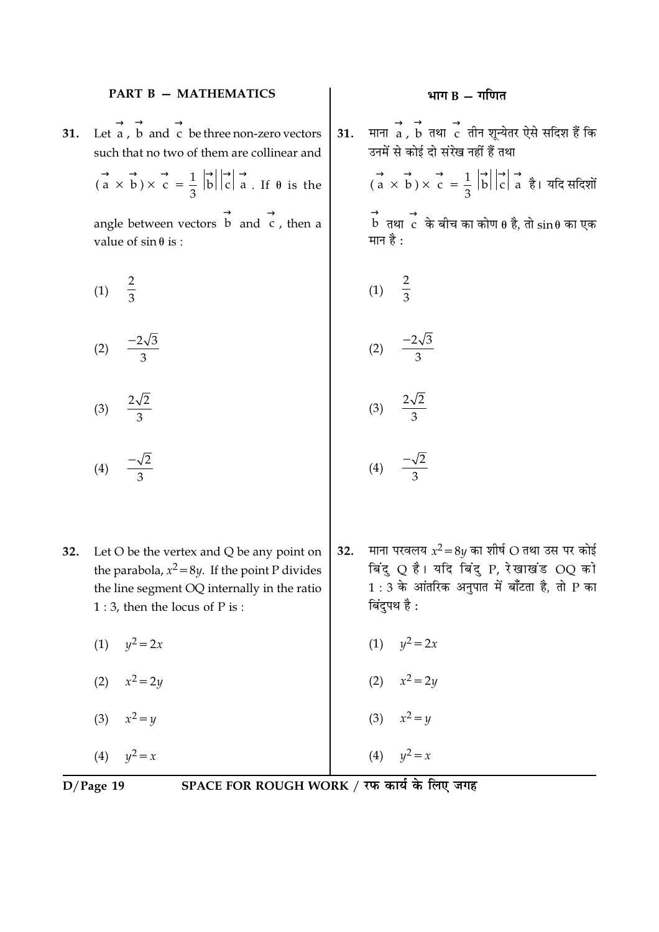#### **PART B - MATHEMATICS**

 $\rightarrow$   $\rightarrow$   $\rightarrow$   $\rightarrow$  Let a, b and c be three non-zero vectors 31. such that no two of them are collinear and

 $(a \times b) \times c = \frac{1}{3} |b||c| \rightarrow c$ . If  $\theta$  is the

angle between vectors  $\overrightarrow{b}$  and  $\overrightarrow{c}$ , then a value of  $sin \theta$  is:

$$
(1) \quad \frac{2}{3}
$$

- (2)  $\frac{-2\sqrt{3}}{3}$
- $\frac{2\sqrt{2}}{3}$  $(3)$
- (4)  $\frac{-\sqrt{2}}{2}$
- 32. Let  $O$  be the vertex and  $Q$  be any point on the parabola,  $x^2 = 8y$ . If the point P divides the line segment OQ internally in the ratio  $1:3$ , then the locus of P is:
	- (1)  $y^2 = 2x$
	- (2)  $x^2 = 2y$
	- (3)  $x^2 = y$

(4)  $y^2 = x$ 

 $D/Page$  19

# SPACE FOR ROUGH WORK / रफ कार्य के लिए जगह

माना  $\overrightarrow{a}$ ,  $\overrightarrow{b}$  तथा  $\overrightarrow{c}$  तीन शून्येतर ऐसे सदिश हैं कि  $31.$ उनमें से कोई दो संरेख नहीं हैं तथा

> $\overrightarrow{a}$   $\overrightarrow{b}$   $\times$   $\overrightarrow{c}$  =  $\frac{1}{3}$   $\overrightarrow{b}$   $\overrightarrow{c}$   $\overrightarrow{a}$   $\overrightarrow{a}$  1 यदि सदिशों  $\overrightarrow{b}$  तथा  $\overrightarrow{c}$  के बीच का कोण  $\theta$  है, तो  $\sin\theta$  का एक मान है :

$$
(1) \frac{2}{3}
$$

$$
(2) \frac{-2\sqrt{3}}{3}
$$

 $\overline{a}$ 

$$
(3) \quad \frac{2\sqrt{2}}{3}
$$

$$
(4) \quad \frac{-\sqrt{2}}{3}
$$

- माना परवलय  $x^2 = 8y$  का शीर्ष O तथा उस पर कोई 32. बिंदु Q है। यदि बिंदु P, रेखाखंड OQ को  $1:3$  के आंतरिक अनपात में बाँटता है, तो P का बिंदुपथ है :
	- (1)  $y^2 = 2x$
	- (2)  $x^2 = 2y$
	- (3)  $x^2 = y$

(4)  $y^2 = x$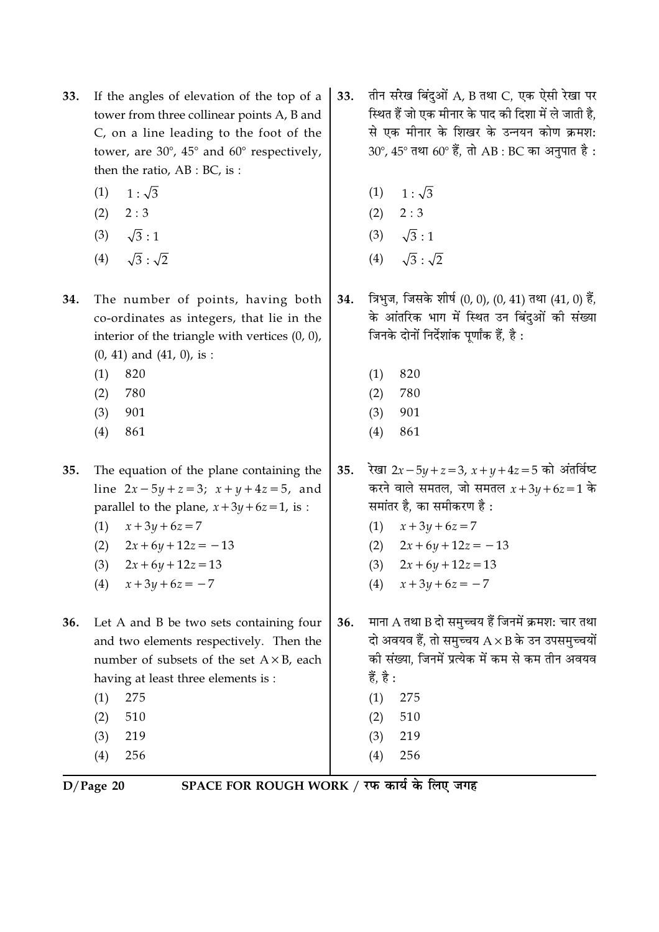- If the angles of elevation of the top of a 33. tower from three collinear points A, B and C, on a line leading to the foot of the tower, are  $30^{\circ}$ ,  $45^{\circ}$  and  $60^{\circ}$  respectively, then the ratio,  $AB : BC$ , is:
	- $1:\sqrt{3}$  $(1)$
	- $(2) \quad 2:3$
	- $(3) \sqrt{3}:1$
	- $\sqrt{3}$ :  $\sqrt{2}$  $(4)$
- 34. The number of points, having both co-ordinates as integers, that lie in the interior of the triangle with vertices  $(0, 0)$ ,  $(0, 41)$  and  $(41, 0)$ , is :
	- 820  $(1)$
	- $(2)$ 780
	- 901  $(3)$
	- $(4)$ 861

35. The equation of the plane containing the line  $2x - 5y + z = 3$ ;  $x + y + 4z = 5$ , and parallel to the plane,  $x + 3y + 6z = 1$ , is:

- $x + 3y + 6z = 7$  $(1)$
- $2x+6y+12z=-13$  $(2)$
- $(3)$  $2x + 6y + 12z = 13$
- $x + 3y + 6z = -7$  $(4)$

36. Let A and B be two sets containing four and two elements respectively. Then the number of subsets of the set  $A \times B$ , each having at least three elements is:

- $(1)$ 275  $(2)$ 510 219  $(3)$
- $(4)$ 256

तीन सरेख बिंदुओं A, B तथा C, एक ऐसी रेखा पर 33. स्थित हैं जो एक मीनार के पाद की दिशा में ले जाती है. से एक मीनार के शिखर के उन्नयन कोण क्रमश:  $30^{\circ}$ ,  $45^{\circ}$  तथा  $60^{\circ}$  हैं, तो AB : BC का अनुपात है :

- $1:\sqrt{3}$  $(1)$
- $(2) \quad 2:3$
- $\sqrt{3}:1$  $(3)$
- $\sqrt{3}$  :  $\sqrt{2}$  $(4)$
- त्रिभुज, जिसके शीर्ष (0, 0), (0, 41) तथा (41, 0) हैं, 34. के आंतरिक भाग में स्थित उन बिंदुओं की संख्या जिनके दोनों निर्देशांक पूर्णांक हैं, है:
	- 820  $(1)$
	- $(2)$ 780
	- 901  $(3)$
	- $(4)$ 861

रेखा 2x-5y+z=3, x+y+4z=5 को अंतर्विष्ट 35. करने वाले समतल, जो समतल  $x + 3y + 6z = 1$  के समांतर है. का समीकरण है:

- (1)  $x + 3y + 6z = 7$
- (2)  $2x+6y+12z=-13$
- $(3)$  $2x + 6y + 12z = 13$
- $x + 3y + 6z = -7$  $(4)$
- माना A तथा B दो समुच्चय हैं जिनमें क्रमश: चार तथा 36. दो अवयव हैं, तो समुच्चय  $A \times B$  के उन उपसमुच्चयों की संख्या. जिनमें प्रत्येक में कम से कम तीन अवयव हैं, है :
	- $(1)$  275
	- $(2)$ 510
	- 219  $(3)$
	- $(4)$ 256

 $D/Page$  20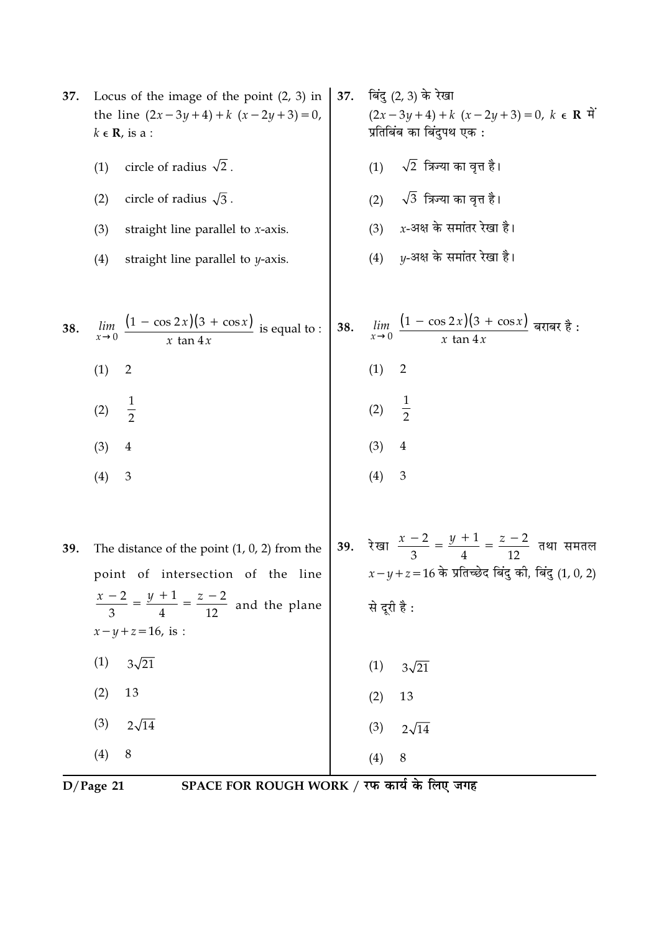| 37. | Locus of the image of the point $(2, 3)$ in<br>the line $(2x-3y+4)+k(x-2y+3)=0$ ,<br>$k \in \mathbf{R}$ , is a : | 37. | बिंदु (2, 3) के रेखा<br>$(2x-3y+4)+k(x-2y+3)=0, k \in \mathbb{R}$<br>प्रतिबिंब का बिंदुपथ एक :                         |
|-----|------------------------------------------------------------------------------------------------------------------|-----|------------------------------------------------------------------------------------------------------------------------|
|     | circle of radius $\sqrt{2}$ .<br>(1)                                                                             |     | $\sqrt{2}$ त्रिज्या का वृत्त है।<br>(1)                                                                                |
|     | circle of radius $\sqrt{3}$ .<br>(2)                                                                             |     | (2) $\sqrt{3}$ त्रिज्या का वृत्त है।                                                                                   |
|     | (3)<br>straight line parallel to $x$ -axis.                                                                      |     | $x$ -अक्ष के समांतर रेखा है।<br>(3)                                                                                    |
|     | (4)<br>straight line parallel to $y$ -axis.                                                                      |     | $y$ -अक्ष के समांतर रेखा है।<br>(4)                                                                                    |
| 38. | $\frac{(1 - \cos 2x)(3 + \cos x)}{x \tan 4x}$ is equal to :<br>lim<br>$x\rightarrow 0$                           | 38. | $\lim_{x\to 0} \frac{(1-\cos 2x)(3+\cos x)}{x \tan 4x}$ बराबर है :                                                     |
|     | (1)<br>$\overline{2}$                                                                                            |     | (1)<br>$\overline{2}$                                                                                                  |
|     | $\frac{1}{2}$<br>(2)                                                                                             |     | $\frac{1}{2}$<br>(2)                                                                                                   |
|     | (3)<br>$\overline{4}$                                                                                            |     | (3)<br>$\overline{4}$                                                                                                  |
|     | $\mathfrak{Z}$<br>(4)                                                                                            |     | (4)<br>$\mathfrak{Z}$                                                                                                  |
| 39. | The distance of the point $(1, 0, 2)$ from the<br>point of intersection of the line                              | 39. | रेखा $\frac{x-2}{3} = \frac{y+1}{4} = \frac{z-2}{12}$ तथा समतल<br>$x-y+z=16$ के प्रतिच्छेद बिंदु की, बिंदु $(1, 0, 2)$ |
|     | $\frac{x-2}{3} = \frac{y+1}{4} = \frac{z-2}{12}$ and the plane<br>$x - y + z = 16$ , is :                        |     | से दूरी है:                                                                                                            |
|     | $3\sqrt{21}$<br>(1)                                                                                              |     | (1)<br>$3\sqrt{21}$                                                                                                    |
|     | 13<br>(2)                                                                                                        |     | 13<br>(2)                                                                                                              |
|     | $2\sqrt{14}$<br>(3)                                                                                              |     | (3)<br>$2\sqrt{14}$                                                                                                    |
|     | $\, 8$<br>(4)                                                                                                    |     | $\,8\,$<br>(4)                                                                                                         |

 $\overline{D/Page~21}$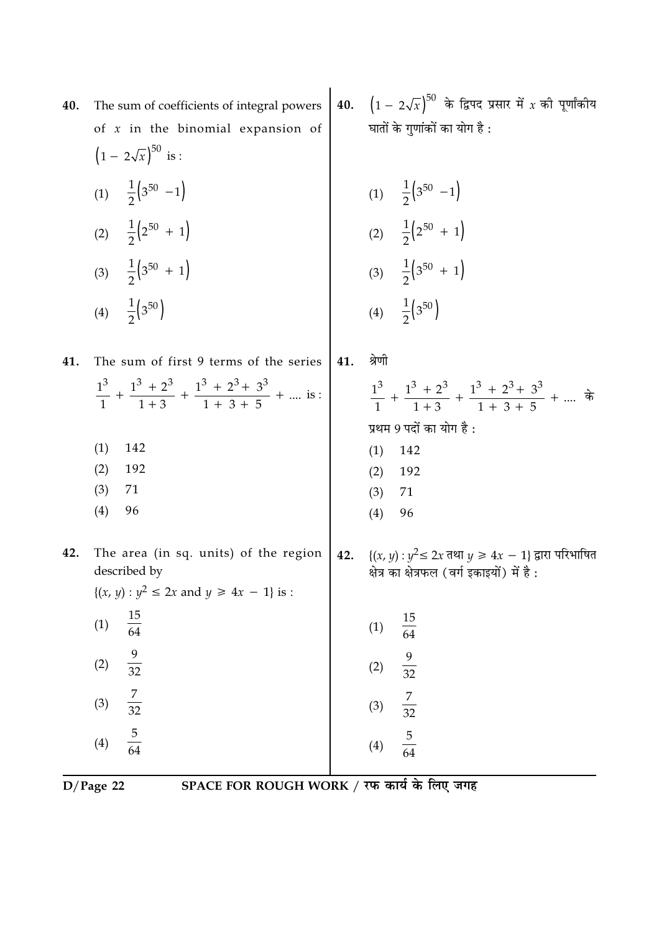| 40. | The sum of coefficients of integral powers<br>of $x$ in the binomial expansion of<br>$(1 - 2\sqrt{x})^{50}$ is :                   |     | <b>40.</b> $(1 - 2\sqrt{x})^{50}$ के द्विपद प्रसार में <i>x</i> की पूर्णांकीय<br>घातों के गुणांकों का योग है :    |
|-----|------------------------------------------------------------------------------------------------------------------------------------|-----|-------------------------------------------------------------------------------------------------------------------|
|     | (1) $\frac{1}{2}$ (3 <sup>50</sup> -1)<br>(2) $\frac{1}{2}$ $\left(2^{50} + 1\right)$                                              |     | (1) $\frac{1}{2}$ (3 <sup>50</sup> -1)<br>(2) $\frac{1}{2}$ $\left(2^{50} + 1\right)$                             |
|     | (3) $\frac{1}{2}$ (3 <sup>50</sup> + 1)<br>(4) $\frac{1}{2}$ (3 <sup>50</sup> )                                                    |     | (3) $\frac{1}{2}$ (3 <sup>50</sup> + 1)<br>(4) $\frac{1}{2}$ (3 <sup>50</sup> )                                   |
| 41. | The sum of first 9 terms of the series<br>$\frac{1^3}{1}$ + $\frac{1^3 + 2^3}{1 + 3}$ + $\frac{1^3 + 2^3 + 3^3}{1 + 3 + 5}$ +  is: | 41. | श्रेणी<br>$\frac{1^3}{1}$ + $\frac{1^3+2^3}{1+3}$ + $\frac{1^3+2^3+3^3}{1+3+5}$ +  के<br>प्रथम 9 पदों का योग है : |
|     | (1)<br>142<br>(2)<br>192<br>(3)<br>71<br>96<br>(4)                                                                                 |     | (1)<br>142<br>192<br>(2)<br>(3)<br>71<br>(4)<br>96                                                                |
| 42. | The area (in sq. units) of the region<br>described by<br>$\{(x, y) : y^2 \le 2x \text{ and } y \ge 4x - 1\} \text{ is :}$          | 42. | { $(x, y): y^2 \le 2x$ तथा $y \ge 4x - 1$ } द्वारा परिभाषित<br>क्षेत्र का क्षेत्रफल (वर्ग इकाइयों) में है :       |
|     | $\frac{15}{64}$<br>(1)<br>$\frac{9}{32}$<br>(2)                                                                                    |     | $\frac{15}{64}$<br>(1)<br>$\frac{9}{32}$                                                                          |
|     | $\frac{7}{32}$<br>(3)                                                                                                              |     | (2)<br>$\frac{7}{32}$<br>(3)                                                                                      |
|     | $\frac{5}{64}$<br>(4)                                                                                                              |     | $\frac{5}{64}$<br>(4)                                                                                             |

D/Page 22 SPACE FOR ROUGH WORK / रफ कार्य के लिए जगह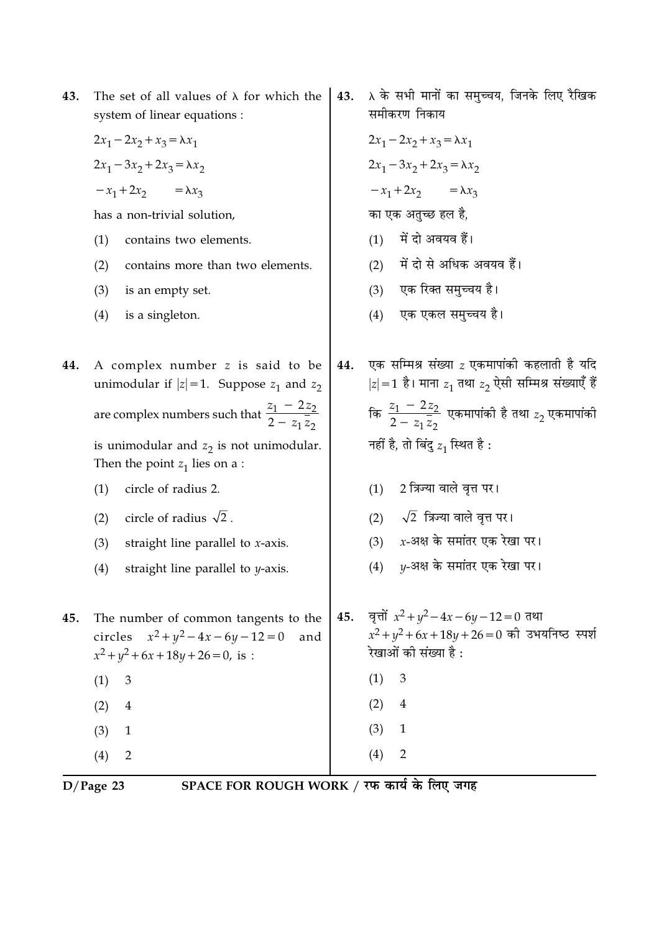| 43. | The set of all values of $\lambda$ for which the<br>system of linear equations :                                                | 43. | λ के सभी मानों का समुच्चय, जिनके लिए रैखिक<br>समीकरण निकाय                                                                |
|-----|---------------------------------------------------------------------------------------------------------------------------------|-----|---------------------------------------------------------------------------------------------------------------------------|
|     | $2x_1 - 2x_2 + x_3 = \lambda x_1$                                                                                               |     | $2x_1 - 2x_2 + x_3 = \lambda x_1$                                                                                         |
|     | $2x_1 - 3x_2 + 2x_3 = \lambda x_2$                                                                                              |     | $2x_1 - 3x_2 + 2x_3 = \lambda x_2$                                                                                        |
|     | $-x_1+2x_2 = \lambda x_3$                                                                                                       |     | $-x_1+2x_2 = \lambda x_3$                                                                                                 |
|     | has a non-trivial solution,                                                                                                     |     | का एक अतुच्छ हल है,                                                                                                       |
|     | (1)<br>contains two elements.                                                                                                   |     | (1) में दो अवयव हैं।                                                                                                      |
|     | (2)<br>contains more than two elements.                                                                                         |     | में दो से अधिक अवयव हैं।<br>(2)                                                                                           |
|     | (3)<br>is an empty set.                                                                                                         |     | एक रिक्त समुच्चय है।<br>(3)                                                                                               |
|     | (4)<br>is a singleton.                                                                                                          |     | एक एकल समुच्चय है।<br>(4)                                                                                                 |
| 44. | A complex number z is said to be<br>unimodular if $ z =1$ . Suppose $z_1$ and $z_2$                                             | 44. | एक सम्मिश्र संख्या $z$ एकमापांकी कहलाती है यदि<br>$ z =1$ है। माना $z_1$ तथा $z_2$ ऐसी सम्मिश्र संख्याएँ हैं              |
|     | are complex numbers such that $\frac{z_1 - 2z_2}{2 - z_1 \overline{z_2}}$                                                       |     | कि $\frac{z_1 - 2z_2}{2 - z_1 \overline{z}_2}$ एकमापांकी है तथा $z_2$ एकमापांकी                                           |
|     | is unimodular and $z_2$ is not unimodular.<br>Then the point $z_1$ lies on a :                                                  |     | नहीं है, तो बिंदु $z_1$ स्थित है :                                                                                        |
|     | circle of radius 2.<br>(1)                                                                                                      |     | 2 त्रिज्या वाले वृत्त पर।<br>(1)                                                                                          |
|     | circle of radius $\sqrt{2}$ .<br>(2)                                                                                            |     | $\sqrt{2}$ त्रिज्या वाले वृत्त पर।<br>(2)                                                                                 |
|     | (3)<br>straight line parallel to $x$ -axis.                                                                                     |     | $x$ -अक्ष के समांतर एक रेखा पर।<br>(3)                                                                                    |
|     | (4)<br>straight line parallel to $y$ -axis.                                                                                     |     | $y$ -अक्ष के समांतर एक रेखा पर।<br>(4)                                                                                    |
| 45. | The number of common tangents to the<br>circles $x^2 + y^2 - 4x - 6y - 12 = 0$<br>and<br>$x^2 + y^2 + 6x + 18y + 26 = 0$ , is : | 45. | वृत्तों $x^2 + y^2 - 4x - 6y - 12 = 0$ तथा<br>$x^2 + y^2 + 6x + 18y + 26 = 0$ की उभयनिष्ठ स्पर्श<br>रेखाओं की संख्या है : |
|     | (1)<br>3                                                                                                                        |     | 3<br>(1)                                                                                                                  |
|     | (2)<br>$\overline{4}$                                                                                                           |     | (2)<br>$\overline{4}$                                                                                                     |
|     | (3)<br>$\mathbf{1}$                                                                                                             |     | (3)<br>$\mathbf{1}$                                                                                                       |
|     | $\overline{2}$<br>(4)                                                                                                           |     | $\overline{2}$<br>(4)                                                                                                     |

 $\overline{D/Page 23}$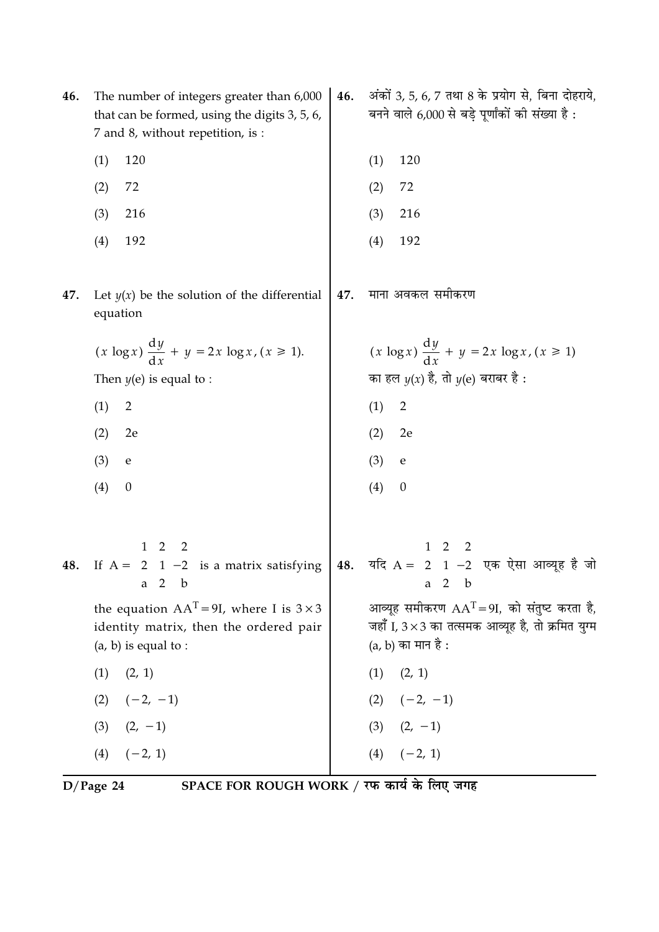| 46. | The number of integers greater than 6,000<br>that can be formed, using the digits 3, 5, 6,<br>7 and 8, without repetition, is :                                                                                                                                                                                                                                                                                                          | 46. | अंकों 3, 5, 6, 7 तथा 8 के प्रयोग से, बिना दोहराये,<br>बनने वाले 6,000 से बड़े पूर्णांकों की संख्या है :                  |
|-----|------------------------------------------------------------------------------------------------------------------------------------------------------------------------------------------------------------------------------------------------------------------------------------------------------------------------------------------------------------------------------------------------------------------------------------------|-----|--------------------------------------------------------------------------------------------------------------------------|
|     | (1)<br>120                                                                                                                                                                                                                                                                                                                                                                                                                               |     | 120<br>(1)                                                                                                               |
|     | 72<br>(2)                                                                                                                                                                                                                                                                                                                                                                                                                                |     | (2)<br>72                                                                                                                |
|     | 216<br>(3)                                                                                                                                                                                                                                                                                                                                                                                                                               |     | (3)<br>216                                                                                                               |
|     | 192<br>(4)                                                                                                                                                                                                                                                                                                                                                                                                                               |     | (4)<br>192                                                                                                               |
| 47. | Let $y(x)$ be the solution of the differential<br>equation                                                                                                                                                                                                                                                                                                                                                                               | 47. | माना अवकल समीकरण                                                                                                         |
|     | $(x \log x) \frac{dy}{dx} + y = 2x \log x, (x \ge 1).$                                                                                                                                                                                                                                                                                                                                                                                   |     | $(x \log x) \frac{dy}{dx} + y = 2x \log x, (x \ge 1)$                                                                    |
|     | Then $y(e)$ is equal to :                                                                                                                                                                                                                                                                                                                                                                                                                |     | का हल $y(x)$ है, तो $y(e)$ बराबर है :                                                                                    |
|     | $\overline{2}$<br>(1)                                                                                                                                                                                                                                                                                                                                                                                                                    |     | $\overline{2}$<br>(1)                                                                                                    |
|     | (2)<br>2e                                                                                                                                                                                                                                                                                                                                                                                                                                |     | (2)<br>2e                                                                                                                |
|     | (3)<br>${\bf e}$                                                                                                                                                                                                                                                                                                                                                                                                                         |     | (3)<br>${\bf e}$                                                                                                         |
|     | (4)<br>$\boldsymbol{0}$                                                                                                                                                                                                                                                                                                                                                                                                                  |     | (4)<br>$\boldsymbol{0}$                                                                                                  |
|     | 48. If $A = \begin{bmatrix} 1 & 2 & 2 \\ 2 & 1 & -2 \\ a & 2 & b \end{bmatrix}$ is a matrix satisfying $\begin{bmatrix} 48. & 4\pi/3 & 4\pi/3 & 4\pi/3 & 4\pi/3 & 4\pi/3 & 4\pi/3 & 4\pi/3 & 4\pi/3 & 4\pi/3 & 4\pi/3 & 4\pi/3 & 4\pi/3 & 4\pi/3 & 4\pi/3 & 4\pi/3 & 4\pi/3 & 4\pi/3 & 4\pi/3 & 4\pi/3 & 4\pi/$<br>the equation $AAT = 9I$ , where I is $3 \times 3$<br>identity matrix, then the ordered pair<br>$(a, b)$ is equal to : |     | आव्यूह समीकरण $AAT = 9I$ , को संतुष्ट करता है,<br>जहाँ I, 3×3 का तत्समक आव्यूह है, तो क्रमित युग्म<br>(a, b) का मान है : |
|     | (1)<br>(2, 1)                                                                                                                                                                                                                                                                                                                                                                                                                            |     | (2, 1)<br>(1)                                                                                                            |
|     | $(2) \quad (-2, -1)$                                                                                                                                                                                                                                                                                                                                                                                                                     |     | $(2) \quad (-2, -1)$                                                                                                     |
|     | $(3)$ $(2, -1)$                                                                                                                                                                                                                                                                                                                                                                                                                          |     | $(3)$ $(2, -1)$                                                                                                          |
|     | $(-2, 1)$<br>(4)                                                                                                                                                                                                                                                                                                                                                                                                                         |     | $(4)$ $(-2, 1)$                                                                                                          |

D/Page 24 SPACE FOR ROUGH WORK / रफ कार्य के लिए जगह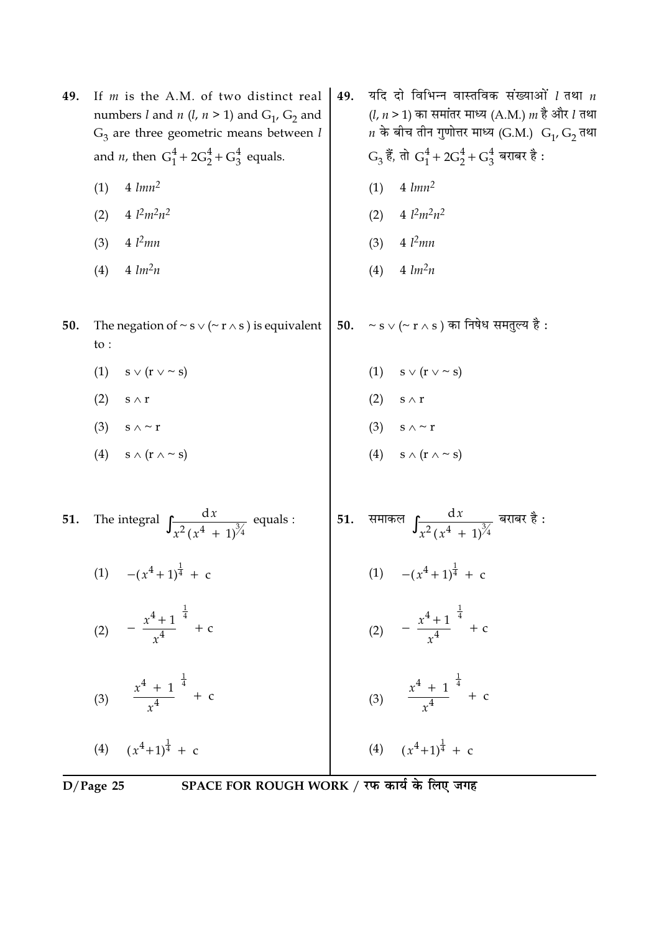|     | SPACE FOR ROUGH WORK / रफ कार्य के लिए जगह<br>$D/Page$ 25 |                                                                                                                                                                        |     |     |                                                                                                                                                                                 |
|-----|-----------------------------------------------------------|------------------------------------------------------------------------------------------------------------------------------------------------------------------------|-----|-----|---------------------------------------------------------------------------------------------------------------------------------------------------------------------------------|
|     |                                                           | (4) $(x^4+1)^{\frac{1}{4}} + c$                                                                                                                                        |     |     | (4) $(x^4+1)^{\frac{1}{4}} + c$                                                                                                                                                 |
|     |                                                           | (3) $\left(\frac{x^4 + 1}{x^4}\right)^{\frac{1}{4}} + c$                                                                                                               |     |     | (3) $\left(\frac{x^4 + 1}{x^4}\right)^{\frac{1}{4}} + c$                                                                                                                        |
|     |                                                           | (2) $-\left(\frac{x^4+1}{x^4}\right)^{\frac{1}{4}} + c$                                                                                                                |     |     | (2) $-\left(\frac{x^4+1}{x^4}\right)^{\frac{1}{4}} + c$                                                                                                                         |
|     |                                                           | (1) $-(x^4+1)^{\frac{1}{4}} + c$                                                                                                                                       |     |     | (1) $-(x^4+1)^{\frac{1}{4}} + c$                                                                                                                                                |
| 51. |                                                           | The integral $\int \frac{dx}{x^2(x^4 + 1)^{3/4}}$ equals :                                                                                                             | 51. |     | समाकल $\int \frac{dx}{x^2(x^4+1)^{3/4}}$ बराबर है :                                                                                                                             |
|     |                                                           | (4) $s \wedge (r \wedge \sim s)$                                                                                                                                       |     |     | (4) $s \wedge (r \wedge \sim s)$                                                                                                                                                |
|     | (3)                                                       | s $\wedge$ ~ r                                                                                                                                                         |     |     | (3) $s \wedge \sim r$                                                                                                                                                           |
|     | (2)                                                       | $s \mathrel{\wedge} r$                                                                                                                                                 |     | (2) | $\mathbf{s}\wedge\mathbf{r}$                                                                                                                                                    |
|     | (1)                                                       | $s \vee (r \vee \sim s)$                                                                                                                                               |     |     | (1) $s \vee (r \vee \sim s)$                                                                                                                                                    |
| 50. | to :                                                      | The negation of $\sim$ s $\vee$ ( $\sim$ r $\wedge$ s) is equivalent                                                                                                   | 50. |     | $\sim$ s $\vee$ (~ r $\wedge$ s) का निषेध समतुल्य है :                                                                                                                          |
|     | (4)                                                       | $4 \, lm^2n$                                                                                                                                                           |     | (4) | $4 \, lm^2n$                                                                                                                                                                    |
|     | (3)                                                       | $4 \; l^2$ mn                                                                                                                                                          |     | (3) | $4 \; l^2$ mn                                                                                                                                                                   |
|     | (2)                                                       | 4 $l^2m^2n^2$                                                                                                                                                          |     | (2) | $4 \; l^2 m^2 n^2$                                                                                                                                                              |
|     | (1)                                                       | $4 \; \text{lmn}^2$                                                                                                                                                    |     | (1) | $4 \; \text{lmn}^2$                                                                                                                                                             |
|     |                                                           | and <i>n</i> , then $G_1^4 + 2G_2^4 + G_3^4$ equals.                                                                                                                   |     |     | $G_3$ हैं, तो $G_1^4 + 2G_2^4 + G_3^4$ बराबर है :                                                                                                                               |
| 49. |                                                           | If $m$ is the A.M. of two distinct real<br>numbers <i>l</i> and <i>n</i> ( <i>l</i> , <i>n</i> > 1) and $G_1$ , $G_2$ and<br>$G_3$ are three geometric means between l | 49. |     | यदि दो विभिन्न वास्तविक संख्याओं $l$ तथा $n$<br>( <i>l, n</i> > 1) का समांतर माध्य (A.M.) <i>m</i> है और <i>l</i> तथा<br>$n$ के बीच तीन गुणोत्तर माध्य (G.M.) $G_1$ , $G_2$ तथा |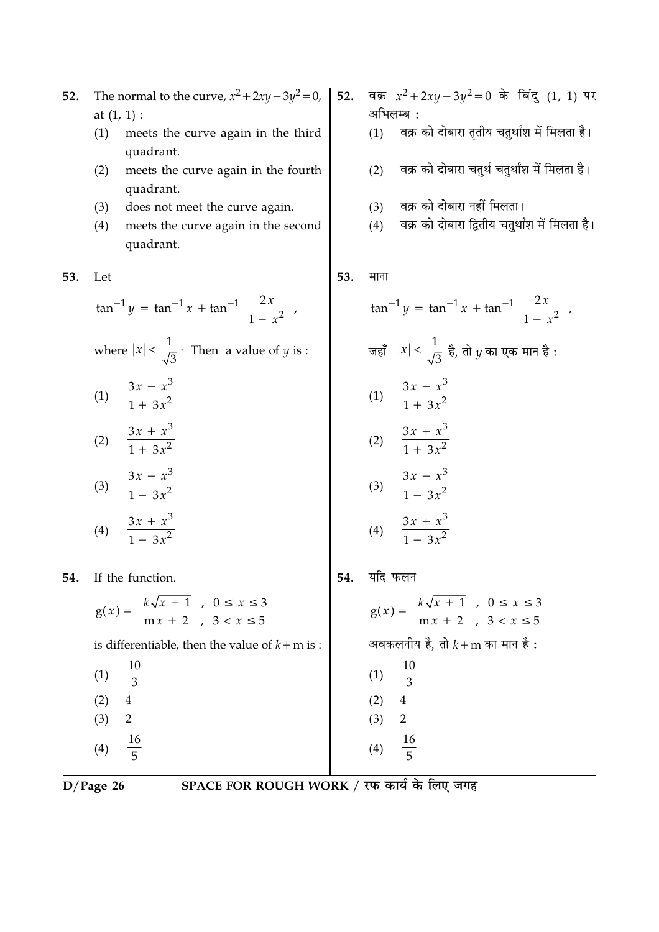- **52.** The normal to the curve,  $x^2 + 2xy 3y^2 = 0$ , at (1, 1) :
	- (1) meets the curve again in the third quadrant.
	- (2) meets the curve again in the fourth quadrant.
	- (3) does not meet the curve again.
	- (4) meets the curve again in the second quadrant.

### **53.** Let

$$
\tan^{-1} y = \tan^{-1} x + \tan^{-1} \left( \frac{2x}{1 - x^2} \right),
$$

where 
$$
|x| < \frac{1}{\sqrt{3}}
$$
. Then a value of *y* is :

$$
(1) \quad \frac{3x - x^3}{1 + 3x^2}
$$

$$
(2) \quad \frac{3x + x^3}{1 + 3x^2}
$$

$$
(3) \quad \frac{3x - x^3}{1 - 3x^2}
$$

$$
(4) \quad \frac{3x + x^3}{1 - 3x^2}
$$

**54.** If the function.

|  |  | $g(x) = \begin{cases} k\sqrt{x+1} , & 0 \le x \le 3 \\ mx+2 , & 3 < x \le 5 \end{cases}$ |
|--|--|------------------------------------------------------------------------------------------|
|  |  | to difference to ble the control conductor of                                            |

is differentiable, then the value of  $k+m$  is :

 $(1)$ 10  $\overline{3}$  $(2) 4$  $(3) 2$  $(4)$ 16  $\overline{5}$ 

52. वक्र 
$$
x^2 + 2xy - 3y^2 = 0
$$
 के बिंदु (1, 1) पर अभिलम्ब :  
(1) वक्र को दोबारा तृतीय चतुर्थांश में मिलता है।  
(2) वक्र को दोबारा चतुर्थ चतुर्थांश में मिलता है।

- $(3)$  $\overline{\phantom{\cdot}}$  को दोबारा नहीं मिलता।
- $(4)$ <sup>5</sup> को दोबारा द्वितीय चतुर्थाश में मिलता है।

## **53.** <br> **HIFT**

I

$$
\tan^{-1} y = \tan^{-1} x + \tan^{-1} \left( \frac{2x}{1 - x^2} \right)
$$
  
\n
$$
\frac{3x}{1 - x^3} = \frac{3x - x^3}{1 + 3x^2}
$$
  
\n(1) 
$$
\frac{3x - x^3}{1 + 3x^2}
$$
  
\n(2) 
$$
\frac{3x + x^3}{1 - 3x^2}
$$
  
\n(3) 
$$
\frac{3x - x^3}{1 - 3x^2}
$$
  
\n(4) 
$$
\frac{3x + x^3}{1 - 3x^2}
$$
  
\n54. 
$$
\frac{3x + x^3}{1 - 3x^2}
$$
  
\n54. 
$$
\frac{3x + x^3}{1 - 3x^2}
$$

$$
g(x) = \begin{cases} k\sqrt{x+1} & , 0 \le x \le 3\\ mx+2 & , 3 < x \le 5 \end{cases}
$$
  
an a graph of  $k+m$  and  $m \ne 3$ :  

$$
\begin{array}{r} 10\\ (1) \quad \frac{10}{3}\\ (2) \quad 4\\ (3) \quad 2\\ (4) \quad \frac{16}{5} \end{array}
$$

**D**/Page 26 SP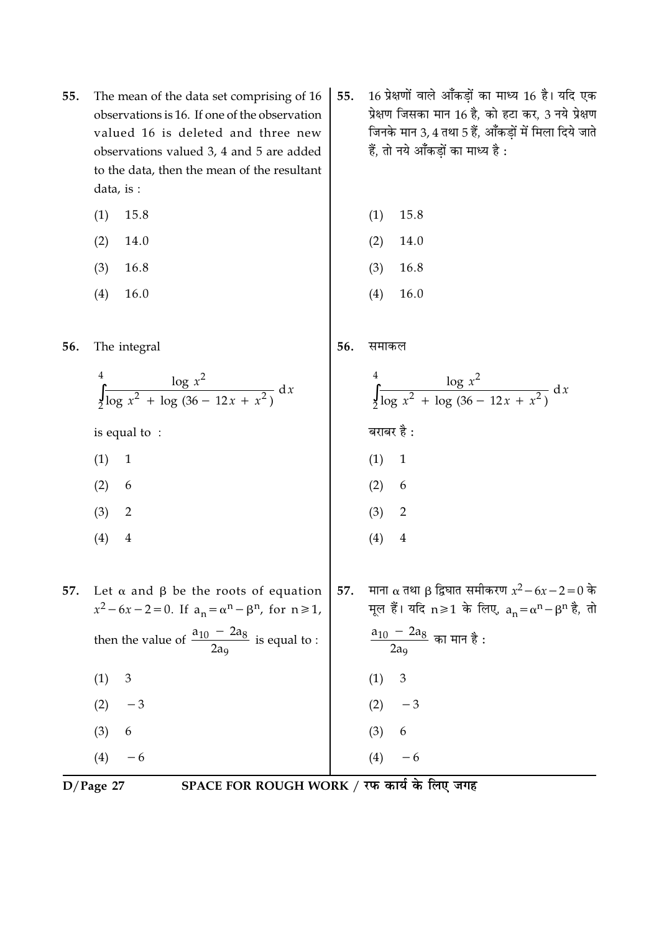- The mean of the data set comprising of 16 55. observations is 16. If one of the observation valued 16 is deleted and three new observations valued 3, 4 and 5 are added to the data, then the mean of the resultant data, is :
	- $(1)$ 15.8
	- $(2)$ 14.0
	- $(3)$ 16.8
	- $(4)$ 16.0
- The integral 56.
	- $\int_{0}^{4} \frac{\log x^{2}}{\log x^{2} + \log (36 12x + x^{2})} dx$ is equal to:  $(1) 1$
	-
	- $(2)$ 6
	- $(3)$  $\overline{2}$
	- $(4)$  $\overline{4}$
- 57. Let  $\alpha$  and  $\beta$  be the roots of equation  $x^2 - 6x - 2 = 0$ . If  $a_n = \alpha^n - \beta^n$ , for  $n \ge 1$ , then the value of  $\frac{a_{10} - 2a_8}{2a_9}$  is equal to :  $(1)$  $\mathfrak{Z}$  $(2)$  $-3$  $(3)$ 6
- $(4)$  $D/Page$  27

 $-6$ 

SPACE FOR ROUGH WORK / रफ कार्य के लिए जगह

- 16 प्रेक्षणों वाले आँकडों का माध्य 16 है। यदि एक 55. प्रेक्षण जिसका मान 16 है, को हटा कर, 3 नये प्रेक्षण जिनके मान 3, 4 तथा 5 हैं. आँकडों में मिला दिये जाते हैं, तो नये आँकडों का माध्य है :
	- $(2)$ 14.0

 $(1)$ 

15.8

- $(3)$ 16.8
- 16.0  $(4)$

समाकल 56.

- $\int_{2}^{4} \frac{\log x^{2}}{\log x^{2} + \log (36 12x + x^{2})} dx$ बराबर है :  $(1)$  $\mathbf{1}$  $(2) 6$  $(3)$  $\overline{2}$  $(4)$  $\overline{4}$
- 57. माना α तथा β द्विघात समीकरण  $x^2 - 6x - 2 = 0$  के मूल हैं। यदि n≥1 के लिए,  $a_n = \alpha^n - \beta^n$  है, तो  $\frac{a_{10} - 2a_8}{2a_9}$  का मान है:  $(1)$ 3  $(2)$  $(3)$  $\boldsymbol{6}$  $(4)$  $-6$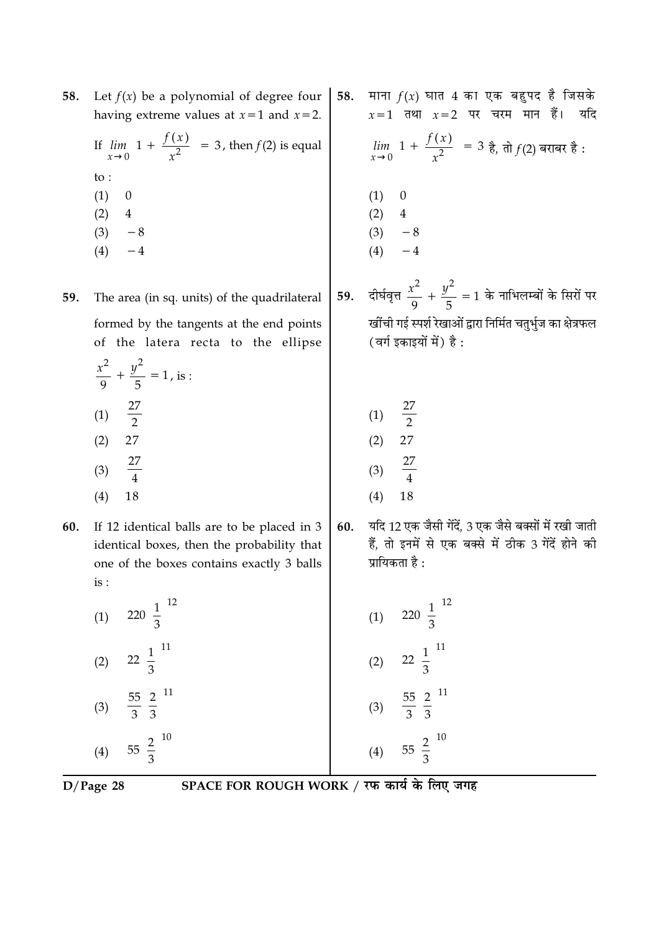| 58. Let $f(x)$ be a polynomial of degree four   58. माना $f(x)$ घात 4 का एक बहुपद है जिसके<br>having extreme values at $x=1$ and $x=2$ . | $x=1$ तथा $x=2$ पर चरम मान हैं। यदि                                            |
|------------------------------------------------------------------------------------------------------------------------------------------|--------------------------------------------------------------------------------|
| If $\lim_{x\to 0} \left[1 + \frac{f(x)}{x^2}\right] = 3$ , then $f(2)$ is equal                                                          | $\lim_{x\to 0} \left[1 + \frac{f(x)}{x^2}\right] = 3$ है, तो $f(2)$ बराबर है : |
| $\mathsf{to}$ :                                                                                                                          |                                                                                |
| (1)                                                                                                                                      |                                                                                |
| (2)<br>4                                                                                                                                 | $(1)$<br>$(2)$                                                                 |
| (3)<br>$-8$                                                                                                                              | (3)<br>$-8$                                                                    |
|                                                                                                                                          | (4)                                                                            |

दीर्घवृत्त  $\frac{x^2}{9} + \frac{y^2}{5} = 1$  के नाभिलम्बों के सिरों पर 59. खींची गई स्पर्श रेखाओं द्वारा निर्मित चतुर्भुज का क्षेत्रफल (वर्ग इकाइयों में) है:

यदि

| (1) | 27<br>2 |
|-----|---------|
| (2) | 27      |
| (3) | 27<br>4 |
| (4) | 18      |

यदि 12 एक जैसी गेंदें, 3 एक जैसे बक्सों में रखी जाती 60. हैं, तो इनमें से एक बक्से में ठीक 3 गेंदें होने की प्रायिकता है :

| $220\left(\frac{1}{3}\right)^{12}$               | $220\left(\frac{1}{3}\right)^{12}$<br>(1)    |
|--------------------------------------------------|----------------------------------------------|
| $22\left(\frac{1}{3}\right)^{11}$                | $22\left(\frac{1}{3}\right)^{11}$<br>(2)     |
| $rac{55}{3} igg( \frac{2}{3} igg)$ <sup>11</sup> | (3) $rac{55}{3} igg( \frac{2}{3} igg) ^{11}$ |
| $55\left(\frac{2}{3}\right)^{10}$                | $55\left(\frac{2}{3}\right)^{10}$<br>(4)     |

 $D/Page$  28

 $(4)$ 

SPACE FOR ROUGH WORK / रफ कार्य के लिए जगह

The area (in sq. units) of the quadrilateral 59. formed by the tangents at the end points

of the latera recta to the ellipse

- $rac{x^2}{9} + \frac{y^2}{5} = 1$ , is :  $\frac{27}{2}$  $(1)$ 27  $(2)$  $\frac{27}{4}$  $(3)$  $(4)$ 18
- 60. If 12 identical balls are to be placed in 3 identical boxes, then the probability that one of the boxes contains exactly 3 balls  $is:$

| (1) | $220\left(\frac{1}{3}\right)$             |
|-----|-------------------------------------------|
| (2) | $22\left(\frac{1}{3}\right)^{1}$          |
| (3) | $\frac{55}{3} \left(\frac{2}{3}\right)^1$ |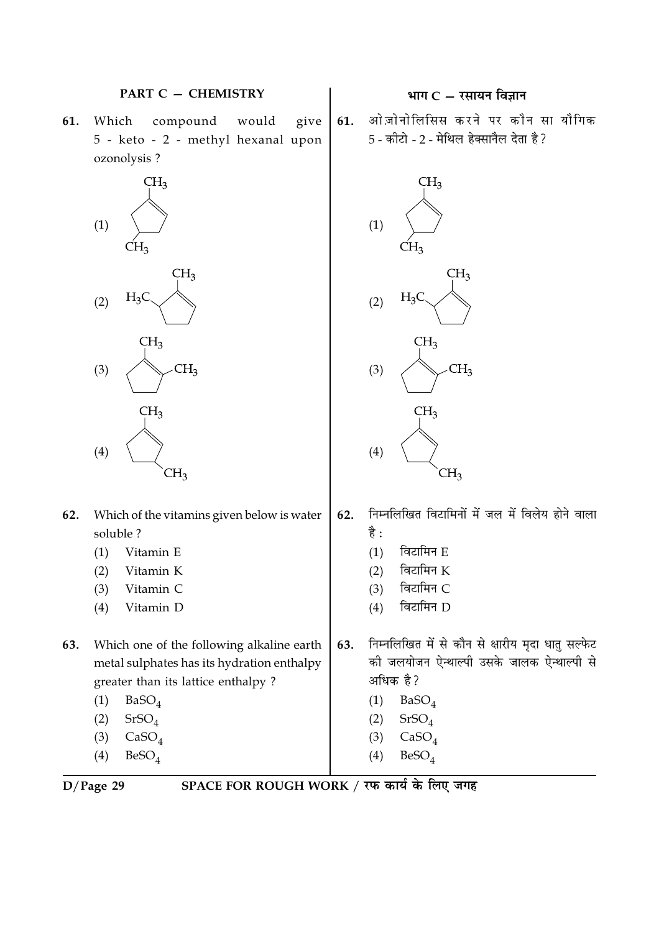

Which compound would 61. give 5 - keto - 2 - methyl hexanal upon ozonolysis ?



- 62. Which of the vitamins given below is water soluble?
	- Vitamin E  $(1)$
	- $(2)$ Vitamin K
	- Vitamin C  $(3)$
	- $(4)$ Vitamin D
- Which one of the following alkaline earth 63. metal sulphates has its hydration enthalpy greater than its lattice enthalpy?
	- $(1)$  $BaSO<sub>4</sub>$
	- $(2)$  $SrSO<sub>4</sub>$
	- $CaSO<sub>A</sub>$  $(3)$
	- $(4)$  $BeSO<sub>4</sub>$

# भाग $C - \bar{x}$ सायन विज्ञान

ओज़ोनोलिसिस करने पर कौन सा यौगिक 61. 5 - कीटो - 2 - मेथिल हेक्सानैल देता है ?



- निम्नलिखित विटामिनों में जल में विलेय होने वाला 62. है :
	- विटामिन E  $(1)$
	- विटामिन K  $(2)$
	- विटामिन C  $(3)$
	- विटामिन D  $(4)$
- निम्नलिखित में से कौन से क्षारीय मृदा धातु सल्फेट 63. की जलयोजन ऐन्थाल्पी उसके जालक ऐन्थाल्पी से अधिक है?
	- $BaSO<sub>4</sub>$  $(1)$
	- $(2)$  $SrSO<sub>4</sub>$
	- $CaSO<sub>4</sub>$  $(3)$
	- $(4)$  $BeSO<sub>A</sub>$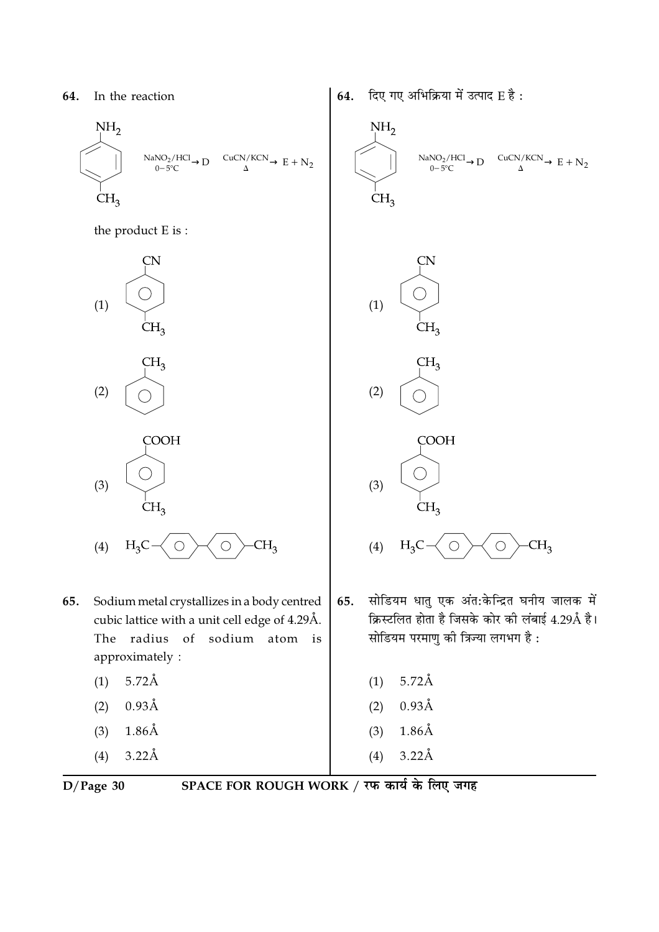

the product E is:



- Sodium metal crystallizes in a body centred 65. cubic lattice with a unit cell edge of 4.29Å. The radius of sodium atom is approximately:
	- $5.72\text{\AA}$  $(1)$
	- $0.93\text{\AA}$  $(2)$
	- $1.86\text{\AA}$  $(3)$
	- $(4)$  $3.22\text{\AA}$

दिए गए अभिक्रिया में उत्पाद E है: 64.



 $D/Page$  30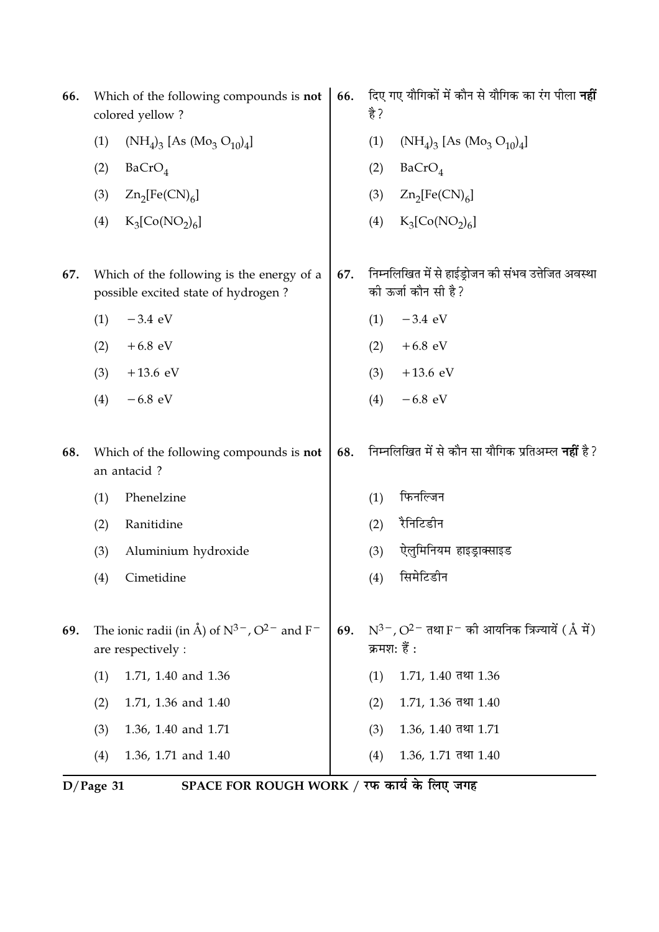| 66. | Which of the following compounds is not<br>colored yellow? |                                                                                        |     | है ? | दिए गए यौगिकों में कौन से यौगिक का रंग पीला <b>नहीं</b>                          |
|-----|------------------------------------------------------------|----------------------------------------------------------------------------------------|-----|------|----------------------------------------------------------------------------------|
|     | (1)                                                        | $(NH_4)_3$ [As $(Mo_3 O_{10})_4$ ]                                                     |     | (1)  | $(NH_4)_3$ [As $(Mo_3 O_{10})_4$ ]                                               |
|     | (2)                                                        | BaCrO <sub>4</sub>                                                                     |     | (2)  | BaCrO <sub>4</sub>                                                               |
|     | (3)                                                        | $Zn_2[Fe(CN)_6]$                                                                       |     | (3)  | $Zn_2[Fe(CN)_6]$                                                                 |
|     | (4)                                                        | $K_3[Co(NO_2)_6]$                                                                      |     | (4)  | $K_3[Co(NO_2)_6]$                                                                |
| 67. |                                                            | Which of the following is the energy of a<br>possible excited state of hydrogen?       | 67. |      | निम्नलिखित में से हाईड्रोजन की संभव उत्तेजित अवस्था<br>की ऊर्जा कौन सी है?       |
|     | (1)                                                        | $-3.4$ eV                                                                              |     | (1)  | $-3.4$ eV                                                                        |
|     | (2)                                                        | $+6.8$ eV                                                                              |     | (2)  | $+6.8$ eV                                                                        |
|     | (3)                                                        | $+13.6$ eV                                                                             |     | (3)  | $+13.6$ eV                                                                       |
|     | (4)                                                        | $-6.8$ eV                                                                              |     | (4)  | $-6.8$ eV                                                                        |
| 68. |                                                            | Which of the following compounds is not<br>an antacid?                                 | 68. |      | निम्नलिखित में से कौन सा यौगिक प्रतिअम्ल <b>नहीं</b> है ?                        |
|     | (1)                                                        | Phenelzine                                                                             |     | (1)  | फिनल्जिन                                                                         |
|     | (2)                                                        | Ranitidine                                                                             |     | (2)  | रैनिटिडीन                                                                        |
|     | (3)                                                        | Aluminium hydroxide                                                                    |     | (3)  | ऐलूमिनियम हाइड्राक्साइड                                                          |
|     | (4)                                                        | Cimetidine                                                                             |     | (4)  | सिमेटिडीन                                                                        |
| 69. |                                                            | The ionic radii (in Å) of $N^{3-}$ , $O^{2-}$ and F <sup>-</sup><br>are respectively : | 69. |      | $N^{3-}$ , $O^{2-}$ तथा F $^-$ को आयनिक त्रिज्यायें ( $\AA$ में)<br>क्रमश: हैं : |
|     | (1)                                                        | 1.71, 1.40 and 1.36                                                                    |     | (1)  | $1.71, 1.40$ तथा $1.36$                                                          |
|     | (2)                                                        | 1.71, 1.36 and 1.40                                                                    |     | (2)  | $1.71, 1.36$ तथा $1.40$                                                          |
|     | (3)                                                        | 1.36, 1.40 and 1.71                                                                    |     | (3)  | $1.36, 1.40$ तथा $1.71$                                                          |
|     | (4)                                                        | 1.36, 1.71 and 1.40                                                                    |     | (4)  | $1.36, 1.71$ तथा $1.40$                                                          |

D/Page 31 SPACE FOR ROUGH WORK / रफ कार्य के लिए जगह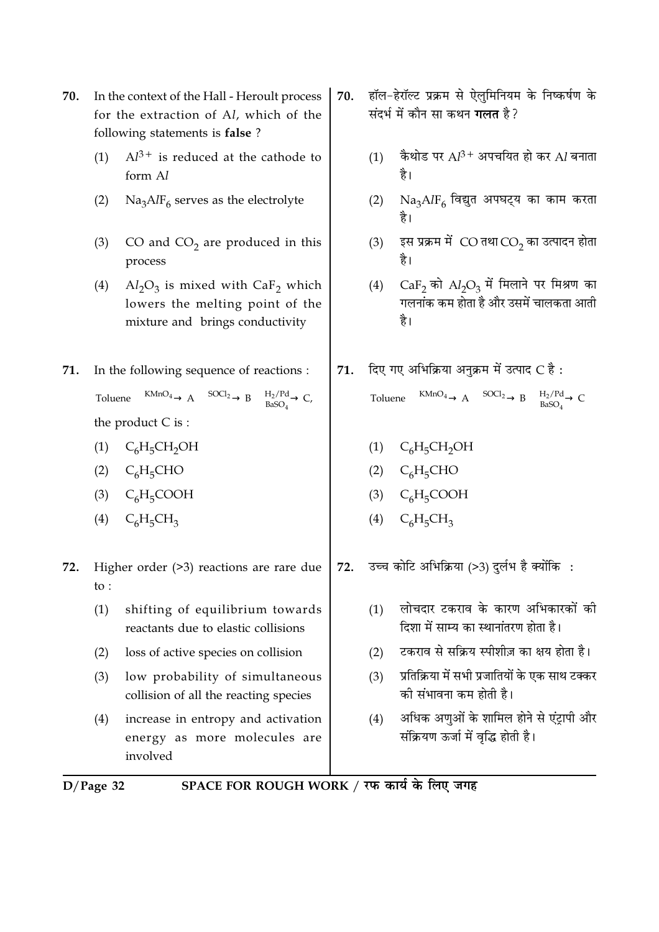- 70. In the context of the Hall - Heroult process for the extraction of Al, which of the following statements is false?
	- $Al^{3+}$  is reduced at the cathode to  $(1)$ form Al
	- $\text{Na}_3\text{AlF}_6$  serves as the electrolyte  $(2)$
	- CO and  $CO<sub>2</sub>$  are produced in this  $(3)$ process
	- $Al_2O_3$  is mixed with CaF<sub>2</sub> which  $(4)$ lowers the melting point of the mixture and brings conductivity
- In the following sequence of reactions : 71. Toluene  $\xrightarrow{\text{KMnO}_4} A \xrightarrow{\text{SOC}_2} B \xrightarrow{\text{H}_2/\text{Pd}} C$ , the product  $C$  is :
	- $(1)$  C<sub>6</sub>H<sub>5</sub>CH<sub>2</sub>OH
	- $(2)$  C<sub>6</sub>H<sub>5</sub>CHO
	- (3)  $C_6H_5COOH$
	- $(4)$  $C_6H_5CH_3$
- Higher order  $(>3)$  reactions are rare due 72. to:
	- $(1)$ shifting of equilibrium towards reactants due to elastic collisions
	- $(2)$ loss of active species on collision
	- $(3)$ low probability of simultaneous collision of all the reacting species
	- increase in entropy and activation  $(4)$ energy as more molecules are involved
- $D/Page$  32
- SPACE FOR ROUGH WORK / रफ कार्य के लिए जगह
- हॉल-हेरॉल्ट प्रक्रम से ऐलुमिनियम के निष्कर्षण के 70. संदर्भ में कौन सा कथन **गलत** है ?
	- कैथोड पर  $Al^{3+}$  अपचयित हो कर  $Al$  बनाता  $(1)$ है।
	- $\mathrm{Na_{3}AlF_{6}}$  विद्युत अपघट्य का काम करता  $(2)$
	- इस प्रक्रम में  $\overline{\text{CO}}$ तथा $\overline{\text{CO}}_2$ का उत्पादन होता  $(3)$ है।
	- $CaF<sub>2</sub>$  को  $Al<sub>2</sub>O<sub>3</sub>$  में मिलाने पर मिश्रण का  $(4)$ गलनांक कम होता है और उसमें चालकता आती है।
- दिए गए अभिक्रिया अनुक्रम में उत्पाद  $\text{C}$  है: 71. Toluene  $\frac{\text{KMnO}_4}{\text{BnSO}_4}$  A  $\frac{\text{SOCl}_2}{\text{BnSO}_4}$  B  $\frac{H_2/Pd}{\text{BnSO}_4}$  C
	- (1)  $C_6H_5CH_2OH$
	- (2)  $C_6H_5CHO$
	- (3)  $C_6H_5COOH$
	- (4)  $C_6H_5CH_3$
- उच्च कोटि अभिक्रिया (>3) दर्लभ है क्योंकि: 72.
	- लोचदार टकराव के कारण अभिकारकों की  $(1)$ दिशा में साम्य का स्थानांतरण होता है।
	- टकराव से सक्रिय स्पीशीज़ का क्षय होता है।  $(2)$
	- प्रतिक्रिया में सभी प्रजातियों के एक साथ टक्कर  $(3)$ की संभावना कम होती है।
	- अधिक अणुओं के शामिल होने से एंटापी और  $(4)$ संक्रियण ऊर्जा में वृद्धि होती है।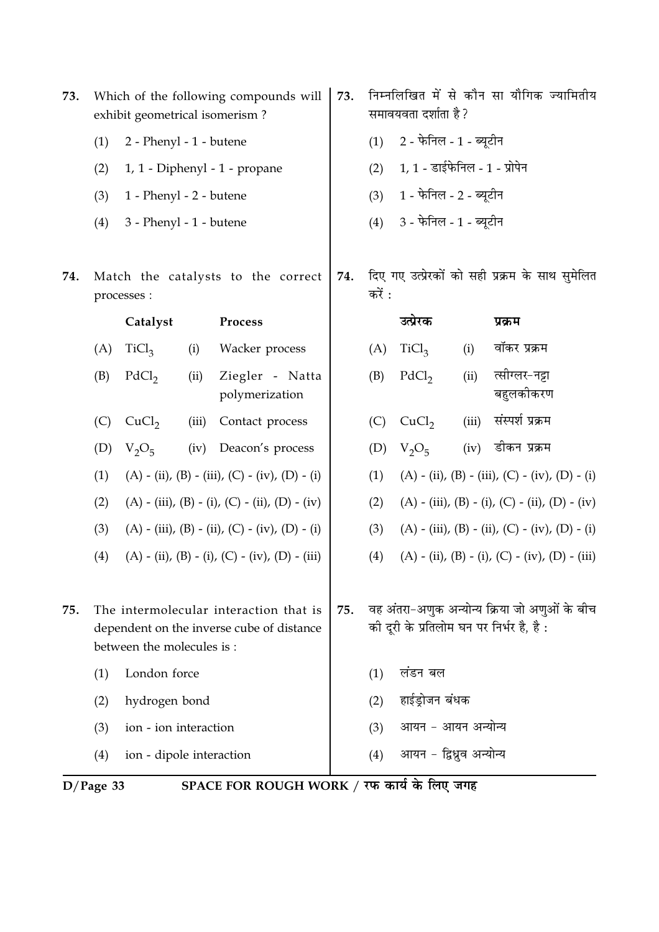| 73. |             | exhibit geometrical isomerism? |       | Which of the following compounds will                                               | 73. |        | समावयवता दर्शाता है ?             |       | निम्नलिखित में से कौन सा यौगिक ज्यामितीय                                                  |
|-----|-------------|--------------------------------|-------|-------------------------------------------------------------------------------------|-----|--------|-----------------------------------|-------|-------------------------------------------------------------------------------------------|
|     | (1)         | 2 - Phenyl - 1 - butene        |       |                                                                                     |     | (1)    | 2 - फेनिल - 1 - ब्यूटीन           |       |                                                                                           |
|     | (2)         |                                |       | 1, 1 - Diphenyl - 1 - propane                                                       |     | (2)    | $1, 1$ - डाईफेनिल - $1$ - प्रोपेन |       |                                                                                           |
|     | (3)         | 1 - Phenyl - 2 - butene        |       |                                                                                     |     | (3)    | 1 - फेनिल - 2 - ब्यूटीन           |       |                                                                                           |
|     | (4)         | 3 - Phenyl - 1 - butene        |       |                                                                                     |     | (4)    | $3$ - फेनिल - $1$ - ब्यूटीन       |       |                                                                                           |
| 74. |             | processes :                    |       | Match the catalysts to the correct                                                  | 74. | करें : |                                   |       | दिए गए उत्प्रेरकों को सही प्रक्रम के साथ सुमेलित                                          |
|     |             | Catalyst                       |       | <b>Process</b>                                                                      |     |        | उत्प्रेरक                         |       | प्रक्रम                                                                                   |
|     | (A)         | TiCl <sub>3</sub>              | (i)   | Wacker process                                                                      |     | (A)    | TiCl <sub>3</sub>                 | (i)   | वॉकर प्रक्रम                                                                              |
|     | (B)         | PdCl <sub>2</sub>              | (ii)  | Ziegler - Natta<br>polymerization                                                   |     | (B)    | PdCl <sub>2</sub>                 | (ii)  | त्सीग्लर-नट्टा<br>बहुलकीकरण                                                               |
|     | (C)         | CuCl <sub>2</sub>              | (iii) | Contact process                                                                     |     | (C)    | CuCl <sub>2</sub>                 | (iii) | संस्पर्श प्रक्रम                                                                          |
|     | (D)         | $V_2O_5$                       | (iv)  | Deacon's process                                                                    |     | (D)    | $V_2O_5$                          | (iv)  | डीकन प्रक्रम                                                                              |
|     | (1)         |                                |       | $(A) - (ii)$ , $(B) - (iii)$ , $(C) - (iv)$ , $(D) - (i)$                           |     | (1)    |                                   |       | $(A) - (ii)$ , $(B) - (iii)$ , $(C) - (iv)$ , $(D) - (i)$                                 |
|     | (2)         |                                |       | $(A) - (iii)$ , $(B) - (i)$ , $(C) - (ii)$ , $(D) - (iv)$                           |     | (2)    |                                   |       | $(A) - (iii)$ , $(B) - (i)$ , $(C) - (ii)$ , $(D) - (iv)$                                 |
|     | (3)         |                                |       | (A) - (iii), (B) - (ii), (C) - (iv), (D) - (i)                                      |     | (3)    |                                   |       | $(A) - (iii)$ , $(B) - (ii)$ , $(C) - (iv)$ , $(D) - (i)$                                 |
|     | (4)         |                                |       | $(A) - (ii)$ , $(B) - (i)$ , $(C) - (iv)$ , $(D) - (iii)$                           |     | (4)    |                                   |       | $(A) - (ii), (B) - (i), (C) - (iv), (D) - (iii)$                                          |
| 75. |             | between the molecules is:      |       | The intermolecular interaction that is<br>dependent on the inverse cube of distance | 75. |        |                                   |       | वह अंतरा-अणुक अन्योन्य क्रिया जो अणुओं के बीच<br>की दूरी के प्रतिलोम घन पर निर्भर है, है: |
|     | (1)         | London force                   |       |                                                                                     |     | (1)    | लंडन बल                           |       |                                                                                           |
|     | (2)         | hydrogen bond                  |       |                                                                                     |     | (2)    | हाईड्रोजन बंधक                    |       |                                                                                           |
|     | (3)         | ion - ion interaction          |       |                                                                                     |     | (3)    | आयन - आयन अन्योन्य                |       |                                                                                           |
|     | (4)         | ion - dipole interaction       |       |                                                                                     |     | (4)    | आयन - द्विध्रुव अन्योन्य          |       |                                                                                           |
|     | $D/Page$ 33 |                                |       | SPACE FOR ROUGH WORK / रफ कार्य के लिए जगह                                          |     |        |                                   |       |                                                                                           |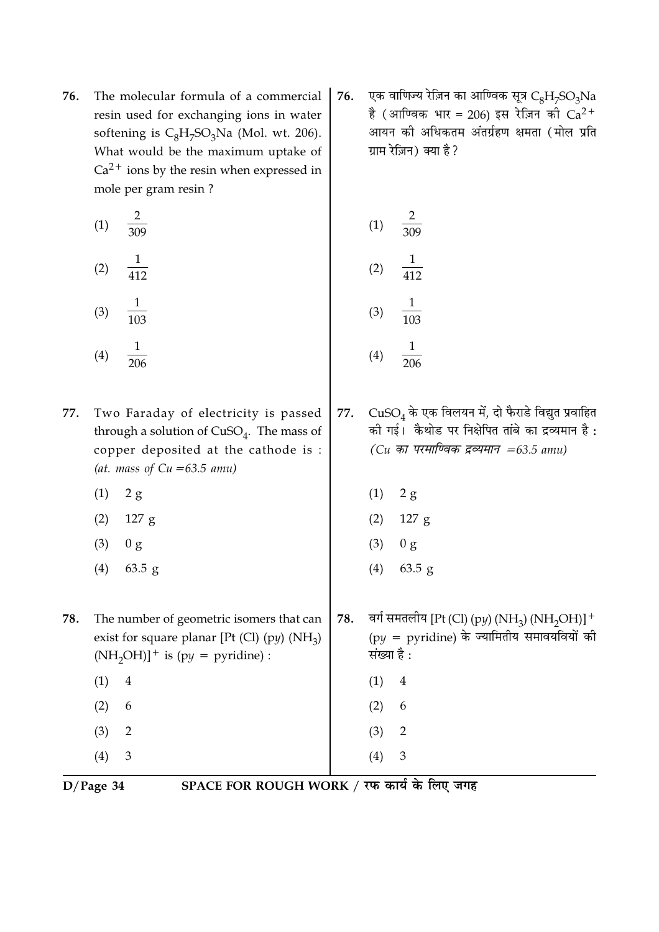76. The molecular formula of a commercial resin used for exchanging ions in water softening is  $C_8H_7SO_3Na$  (Mol. wt. 206). What would be the maximum uptake of  $Ca<sup>2+</sup>$  ions by the resin when expressed in mole per gram resin?

| (1) | $\overline{2}$<br>$\overline{309}$ | (1)              |
|-----|------------------------------------|------------------|
| (2) | $\overline{412}$                   | (2)              |
| (3) | 1<br>$\overline{103}$              | (3)              |
| (4) | $\frac{1}{206}$                    | $\left(4\right)$ |

- Two Faraday of electricity is passed 77. through a solution of  $CuSO<sub>4</sub>$ . The mass of copper deposited at the cathode is : (at. mass of  $Cu = 63.5$  amu)
	- $(1)$  $2g$
	- $(2)$  $127 g$
	- $(3)$  $0<sub>g</sub>$
	- $(4)$  $63.5$  g
- 78. The number of geometric isomers that can exist for square planar [Pt (Cl) (py)  $(NH_3)$  $(NH_2OH)]^+$  is (py = pyridine) :

एक वाणिज्य रेज़िन का आण्विक सूत्र  $C_8H_7SO_3Na$ 76. है (आण्विक भार = 206) इस रेज़िन को  $Ca^{2+}$ आयन की अधिकतम अंतर्ग्रहण क्षमता (मोल प्रति ग्राम रेज़िन) क्या है ?

(1) 
$$
\frac{2}{309}
$$
  
\n(2)  $\frac{1}{412}$   
\n(3)  $\frac{1}{103}$   
\n(4)  $\frac{1}{206}$ 

- $CuSO<sub>4</sub>$  के एक विलयन में, दो फैराडे विद्युत प्रवाहित 77. की गई। कैथोड पर निक्षेपित तांबे का द्रव्यमान है:  $(Cu \nleftrightarrow T$  परमाण्विक द्रव्यमान =63.5 amu)
	- $(1)$  $2g$
	- $(2)$  $127 g$
	- $(3)$  $0<sub>g</sub>$
	- $63.5 g$  $(4)$
- वर्ग समतलीय [Pt (Cl) (py) (NH<sub>3</sub>) (NH<sub>2</sub>OH)]<sup>+</sup> 78.  $(py = pyridine)$  के ज्यामितीय समावयवियों की संख्या है :
	- $(1)$  $\overline{4}$

 $\overline{2}$ 

 $\mathfrak{Z}$ 

 $(2)$ 6

 $(3)$ 

 $(4)$ 

- 
- $(4)$  $D/Page$  34

 $(1)$  $\overline{4}$ 

 $(2)$ 

 $(3)$ 

6

 $\overline{2}$ 

 $\overline{3}$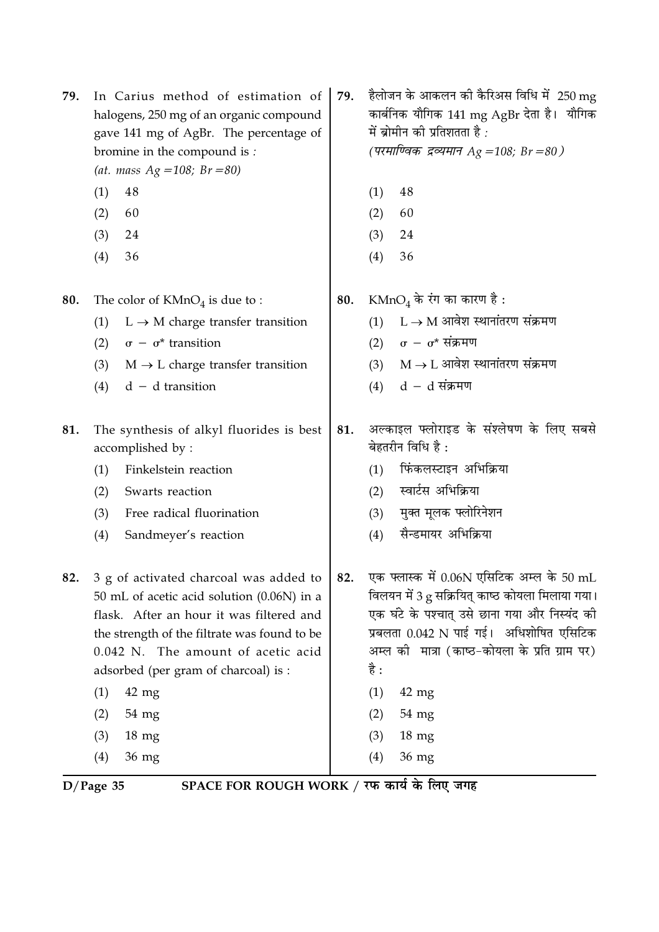| 79. | In Carius method of estimation of<br>halogens, 250 mg of an organic compound<br>gave 141 mg of AgBr. The percentage of<br>bromine in the compound is :<br>(at. mass $Ag = 108$ ; $Br = 80$ )                                                                                                                                                 | 79. | हैलोजन के आकलन की कैरिअस विधि में  250 mg<br>कार्बनिक यौगिक 141 mg AgBr देता है।  यौगिक<br>में ब्रोमीन की प्रतिशतता है :<br>(परमाण्विक द्रव्यमान Ag =108; Br =80 )                                                                                                                                                                 |
|-----|----------------------------------------------------------------------------------------------------------------------------------------------------------------------------------------------------------------------------------------------------------------------------------------------------------------------------------------------|-----|------------------------------------------------------------------------------------------------------------------------------------------------------------------------------------------------------------------------------------------------------------------------------------------------------------------------------------|
|     | (1)<br>48                                                                                                                                                                                                                                                                                                                                    |     | 48<br>(1)                                                                                                                                                                                                                                                                                                                          |
|     | (2)<br>60                                                                                                                                                                                                                                                                                                                                    |     | (2)<br>60                                                                                                                                                                                                                                                                                                                          |
|     | (3)<br>24                                                                                                                                                                                                                                                                                                                                    |     | (3)<br>24                                                                                                                                                                                                                                                                                                                          |
|     | (4)<br>36                                                                                                                                                                                                                                                                                                                                    |     | (4)<br>36                                                                                                                                                                                                                                                                                                                          |
| 80. | The color of $KMnO4$ is due to :                                                                                                                                                                                                                                                                                                             | 80. | KMnO <sub>4</sub> के रंग का कारण है :                                                                                                                                                                                                                                                                                              |
|     | $L \rightarrow M$ charge transfer transition<br>(1)                                                                                                                                                                                                                                                                                          |     | $L \rightarrow M$ आवेश स्थानांतरण संक्रमण<br>(1)                                                                                                                                                                                                                                                                                   |
|     | $\sigma - \sigma^*$ transition<br>(2)                                                                                                                                                                                                                                                                                                        |     | $\sigma - \sigma^*$ संक्रमण<br>(2)                                                                                                                                                                                                                                                                                                 |
|     | (3)<br>$M \rightarrow L$ charge transfer transition                                                                                                                                                                                                                                                                                          |     | $M \rightarrow L$ आवेश स्थानांतरण संक्रमण<br>(3)                                                                                                                                                                                                                                                                                   |
|     | $d - d$ transition<br>(4)                                                                                                                                                                                                                                                                                                                    |     | $d - d$ संक्रमण<br>(4)                                                                                                                                                                                                                                                                                                             |
| 81. | The synthesis of alkyl fluorides is best<br>accomplished by:                                                                                                                                                                                                                                                                                 | 81. | अल्काइल फ्लोराइड के संश्लेषण के लिए सबसे<br>बेहतरीन विधि है :                                                                                                                                                                                                                                                                      |
|     | Finkelstein reaction<br>(1)                                                                                                                                                                                                                                                                                                                  |     | फिंकलस्टाइन अभिक्रिया<br>(1)                                                                                                                                                                                                                                                                                                       |
|     | (2)<br>Swarts reaction                                                                                                                                                                                                                                                                                                                       |     | स्वार्टस अभिक्रिया<br>(2)                                                                                                                                                                                                                                                                                                          |
|     | Free radical fluorination<br>(3)                                                                                                                                                                                                                                                                                                             |     | मुक्त मूलक फ्लोरिनेशन<br>(3)                                                                                                                                                                                                                                                                                                       |
|     | (4)<br>Sandmeyer's reaction                                                                                                                                                                                                                                                                                                                  |     | सैन्डमायर अभिक्रिया<br>(4)                                                                                                                                                                                                                                                                                                         |
| 82. | 3 g of activated charcoal was added to<br>50 mL of acetic acid solution (0.06N) in a<br>flask. After an hour it was filtered and<br>the strength of the filtrate was found to be<br>0.042 N. The amount of acetic acid<br>adsorbed (per gram of charcoal) is :<br>(1)<br>$42 \text{ mg}$<br>(2)<br>$54 \text{ mg}$<br>(3)<br>$18 \text{ mg}$ | 82. | एक फ्लास्क में 0.06N एसिटिक अम्ल के 50 mL<br>विलयन में 3 g सक्रियित् काष्ठ कोयला मिलाया गया।<br>एक घंटे के पश्चात् उसे छाना गया और निस्यंद की<br>प्रबलता 0.042 N पाई गई।  अधिशोषित एसिटिक<br>अम्ल को  मात्रा (काष्ठ-कोयला के प्रति ग्राम पर)<br>है :<br>(1)<br>$42 \text{ mg}$<br>(2)<br>$54 \text{ mg}$<br>(3)<br>$18 \text{ mg}$ |
|     | (4)<br>$36 \text{ mg}$                                                                                                                                                                                                                                                                                                                       |     | 36 mg<br>(4)                                                                                                                                                                                                                                                                                                                       |

 $\overline{D/Page 35}$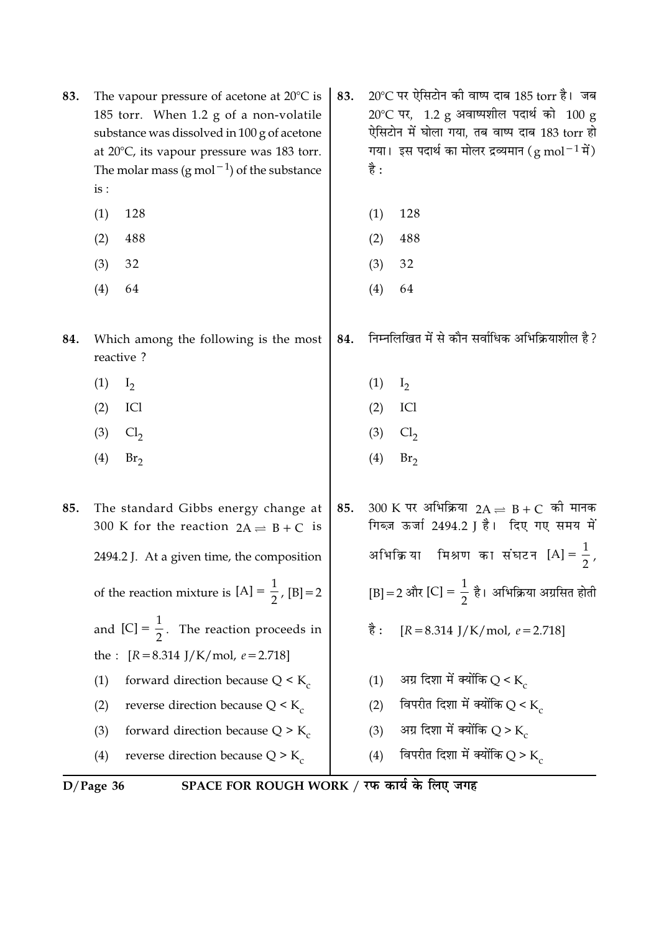| 83. | The vapour pressure of acetone at $20^{\circ}$ C is<br>185 torr. When 1.2 g of a non-volatile<br>substance was dissolved in 100 g of acetone<br>at $20^{\circ}$ C, its vapour pressure was 183 torr.<br>The molar mass $(g \text{ mol}^{-1})$ of the substance<br>is:<br>128<br>(1)<br>488<br>(2)<br>32<br>(3)<br>(4)<br>64 | 83. | 20℃ पर ऐसिटोन की वाष्प दाब 185 torr है। जब<br>$20^{\circ}$ C पर, 1.2 g अवाष्पशील पदार्थ को 100 g<br>ऐसिटोन में घोला गया, तब वाष्प दाब 183 torr हो<br>गया। इस पदार्थ का मोलर द्रव्यमान (g mol $^{-1}$ में)<br>है :<br>128<br>(1)<br>(2)<br>488<br>32<br>(3)<br>(4)<br>64 |
|-----|-----------------------------------------------------------------------------------------------------------------------------------------------------------------------------------------------------------------------------------------------------------------------------------------------------------------------------|-----|-------------------------------------------------------------------------------------------------------------------------------------------------------------------------------------------------------------------------------------------------------------------------|
| 84. | Which among the following is the most<br>reactive?                                                                                                                                                                                                                                                                          | 84. | निम्नलिखित में से कौन सर्वाधिक अभिक्रियाशील है?                                                                                                                                                                                                                         |
|     | (1)<br>$I_2$                                                                                                                                                                                                                                                                                                                |     | (1)<br>I <sub>2</sub>                                                                                                                                                                                                                                                   |
|     | ICI<br>(2)                                                                                                                                                                                                                                                                                                                  |     | ICI<br>(2)                                                                                                                                                                                                                                                              |
|     | (3)<br>Cl <sub>2</sub>                                                                                                                                                                                                                                                                                                      |     | (3)<br>Cl <sub>2</sub>                                                                                                                                                                                                                                                  |
|     | (4)<br>Br <sub>2</sub>                                                                                                                                                                                                                                                                                                      |     | (4)<br>Br <sub>2</sub>                                                                                                                                                                                                                                                  |
| 85. | The standard Gibbs energy change at<br>300 K for the reaction $2A \rightleftharpoons B + C$ is                                                                                                                                                                                                                              | 85. | $300 \text{ K}$ पर अभिक्रिया $2\text{A} \rightleftharpoons \text{B} + \text{C}$ को मानक<br>गिब्ज़ ऊर्जा 2494.2 J है। दिए गए समय में                                                                                                                                     |
|     | 2494.2 J. At a given time, the composition                                                                                                                                                                                                                                                                                  |     | अभिक्रिया मिश्रण का संघटन [A] = $\frac{1}{2}$ ,                                                                                                                                                                                                                         |
|     | of the reaction mixture is $[A] = \frac{1}{2}$ , $[B] = 2$                                                                                                                                                                                                                                                                  |     | [B] = 2 और [C] = $\frac{1}{2}$ है। अभिक्रिया अग्रसित होती                                                                                                                                                                                                               |
|     | and $[C] = \frac{1}{2}$ . The reaction proceeds in                                                                                                                                                                                                                                                                          |     | है :<br>$[R = 8.314$ J/K/mol, $e = 2.718$ ]                                                                                                                                                                                                                             |
|     | $[R = 8.314$ J/K/mol, $e = 2.718$ ]<br>the :                                                                                                                                                                                                                                                                                |     |                                                                                                                                                                                                                                                                         |
|     | forward direction because $Q < K_c$<br>(1)                                                                                                                                                                                                                                                                                  |     | अग्र दिशा में क्योंकि Q < K<br>(1)                                                                                                                                                                                                                                      |
|     | reverse direction because $Q \leq K_c$<br>(2)                                                                                                                                                                                                                                                                               |     | विपरीत दिशा में क्योंकि Q < $K_c$<br>(2)                                                                                                                                                                                                                                |
|     | forward direction because $Q > K_c$<br>(3)                                                                                                                                                                                                                                                                                  |     | अग्र दिशा में क्योंकि Q > K<br>(3)                                                                                                                                                                                                                                      |
|     | reverse direction because $Q > K_c$<br>(4)                                                                                                                                                                                                                                                                                  |     | विपरीत दिशा में क्योंकि Q > K<br>(4)                                                                                                                                                                                                                                    |

D/Page 36 SPACE FOR ROUGH WORK / रफ कार्य के लिए जगह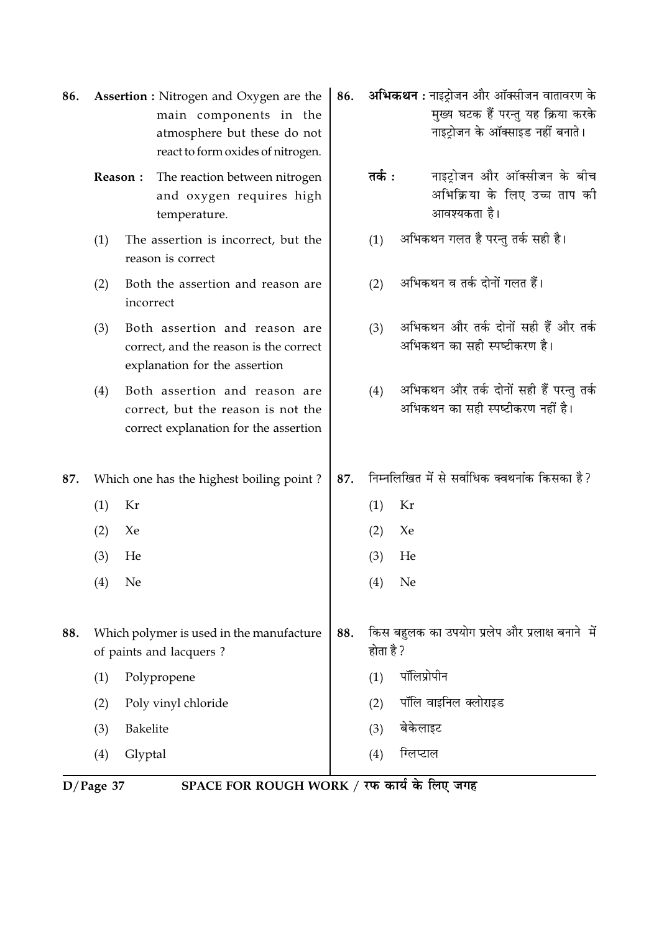| 86. | <b>Assertion :</b> Nitrogen and Oxygen are the<br>main components in the<br>atmosphere but these do not<br>react to form oxides of nitrogen. |                                                                                                              |     |           | <b>अभिकथन :</b> नाइट्रोजन और ऑक्सीजन वातावरण के<br>मुख्य घटक हैं परन्तु यह क्रिया करके<br>नाइट्रोजन के ऑक्साइड नहीं बनाते। |
|-----|----------------------------------------------------------------------------------------------------------------------------------------------|--------------------------------------------------------------------------------------------------------------|-----|-----------|----------------------------------------------------------------------------------------------------------------------------|
|     | The reaction between nitrogen<br>Reason:<br>and oxygen requires high<br>temperature.                                                         |                                                                                                              |     | तर्क :    | नाइट्रोजन और ऑक्सीजन के बीच<br>अभिक्रिया के लिए उच्च ताप की<br>आवश्यकता है।                                                |
|     | (1)                                                                                                                                          | The assertion is incorrect, but the<br>reason is correct                                                     |     | (1)       | अभिकथन गलत है परन्तु तर्क सही है।                                                                                          |
|     | (2)                                                                                                                                          | Both the assertion and reason are<br>incorrect                                                               |     | (2)       | अभिकथन व तर्क दोनों गलत हैं।                                                                                               |
|     | (3)                                                                                                                                          | Both assertion and reason are<br>correct, and the reason is the correct<br>explanation for the assertion     |     | (3)       | अभिकथन और तर्क दोनों सही हैं और तर्क<br>अभिकथन का सही स्पष्टीकरण है।                                                       |
|     | (4)                                                                                                                                          | Both assertion and reason are<br>correct, but the reason is not the<br>correct explanation for the assertion |     | (4)       | अभिकथन और तर्क दोनों सही हैं परन्तु तर्क<br>अभिकथन का सही स्पष्टीकरण नहीं है।                                              |
| 87. |                                                                                                                                              | Which one has the highest boiling point?                                                                     | 87. |           | निम्नलिखित में से सर्वाधिक क्वथनांक किसका है?                                                                              |
|     | (1)                                                                                                                                          | Kr                                                                                                           |     | (1)       | Kr                                                                                                                         |
|     | (2)                                                                                                                                          | Xe                                                                                                           |     | (2)       | Xe                                                                                                                         |
|     | (3)                                                                                                                                          | He                                                                                                           |     | (3)       | He                                                                                                                         |
|     | (4)                                                                                                                                          | Ne                                                                                                           |     | (4)       | Ne                                                                                                                         |
| 88. | Which polymer is used in the manufacture<br>of paints and lacquers?                                                                          |                                                                                                              | 88. | होता है ? | किस बहुलक का उपयोग प्रलेप और प्रलाक्ष बनाने  में                                                                           |
|     | (1)                                                                                                                                          | Polypropene                                                                                                  |     | (1)       | पॉलिप्रोपीन                                                                                                                |
|     | (2)                                                                                                                                          | Poly vinyl chloride                                                                                          |     | (2)       | पॉलि वाइनिल क्लोराइड                                                                                                       |
|     | (3)                                                                                                                                          | Bakelite                                                                                                     |     | (3)       | बेकेलाइट                                                                                                                   |
|     | (4)                                                                                                                                          | Glyptal                                                                                                      |     | (4)       | ग्लिप्टाल                                                                                                                  |

D/Page 37 SPACE FOR ROUGH WORK / रफ कार्य के लिए जगह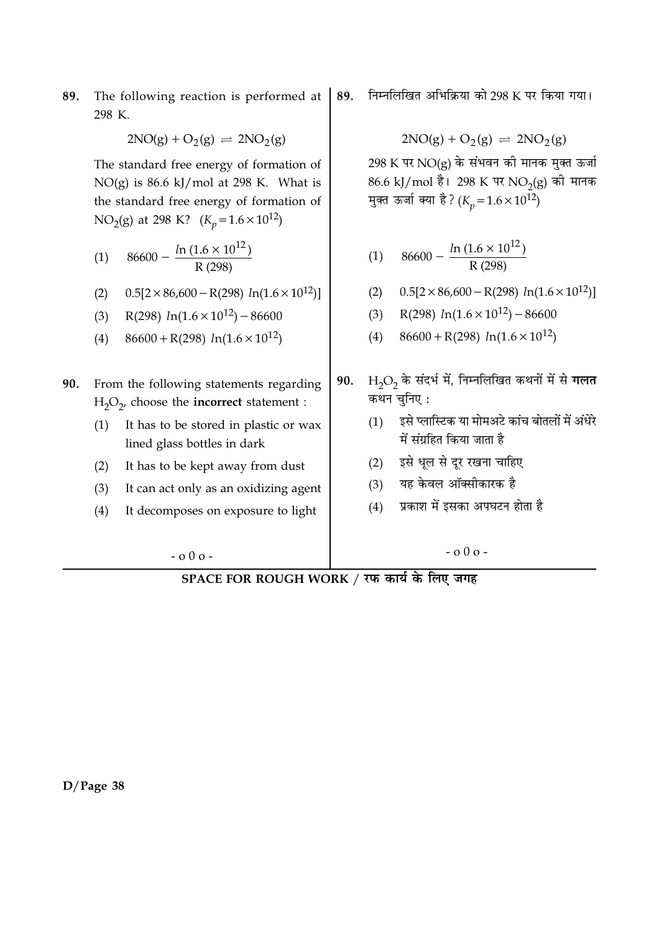The following reaction is performed at 89. 298 K.

 $2NO(g) + O_2(g) \rightleftharpoons 2NO_2(g)$ 

The standard free energy of formation of  $NO(g)$  is 86.6 kJ/mol at 298 K. What is the standard free energy of formation of NO<sub>2</sub>(g) at 298 K?  $(K_p = 1.6 \times 10^{12})$ 

(1) 
$$
86600 - \frac{\ln(1.6 \times 10^{12})}{R (298)}
$$

- $0.5[2 \times 86,600 R(298) \ln(1.6 \times 10^{12})]$  $(2)$
- R(298)  $ln(1.6 \times 10^{12}) 86600$  $(3)$
- $86600 + R(298) ln(1.6 \times 10^{12})$  $(4)$
- 90. From the following statements regarding  $H_2O_2$ , choose the **incorrect** statement :
	- It has to be stored in plastic or wax  $(1)$ lined glass bottles in dark
	- It has to be kept away from dust  $(2)$
	- $(3)$ It can act only as an oxidizing agent
	- It decomposes on exposure to light  $(4)$

 $-0.00 -$ 

निम्नलिखित अभिक्रिया को 298 K पर किया गया। 89.

$$
2NO(g) + O_2(g) \rightleftharpoons 2NO_2(g)
$$

 $298$  K पर NO(g) के संभवन की मानक मुक्त ऊर्जा 86.6 kJ/mol है। 298 K पर NO<sub>2</sub>(g) की मानक मुक्त ऊर्जा क्या है? ( $K_p = 1.6 \times 10^{12}$ )

$$
(1) \quad 86600 - \frac{\ln(1.6 \times 10^{12})}{R (298)}
$$

- $0.5[2 \times 86,600 R(298) \ln(1.6 \times 10^{12})]$  $(2)$
- R(298)  $ln(1.6 \times 10^{12}) 86600$  $(3)$
- $86600 + R(298) ln(1.6 \times 10^{12})$  $(4)$
- $H<sub>2</sub>O<sub>2</sub>$  के संदर्भ में, निम्नलिखित कथनों में से गलत 90. कथन चुनिए:
	- इसे प्लास्टिक या मोमअटे कांच बोतलों में अंधेरे  $(1)$ में संग्रहित किया जाता है
	- इसे धल से दर रखना चाहिए  $(2)$
	- यह केवल ऑक्सीकारक है  $(3)$
	- प्रकाश में इसका अपघटन होता है  $(4)$

 $-0.00 -$ 

SPACE FOR ROUGH WORK / रफ कार्य के लिए जगह

 $D/Page$  38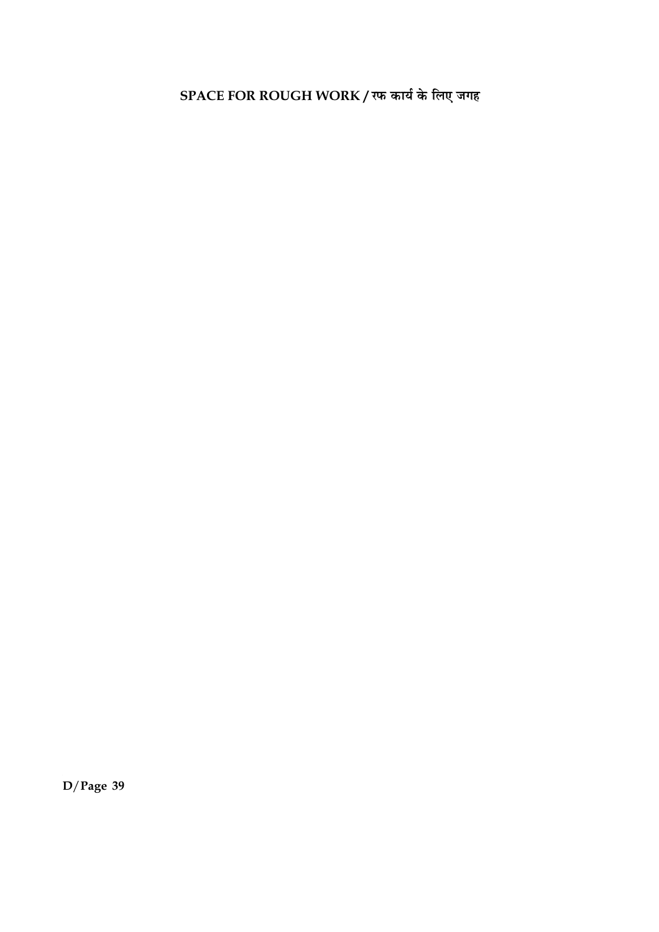SPACE FOR ROUGH WORK / रफ कार्य के लिए जगह

 $D/Page$  39